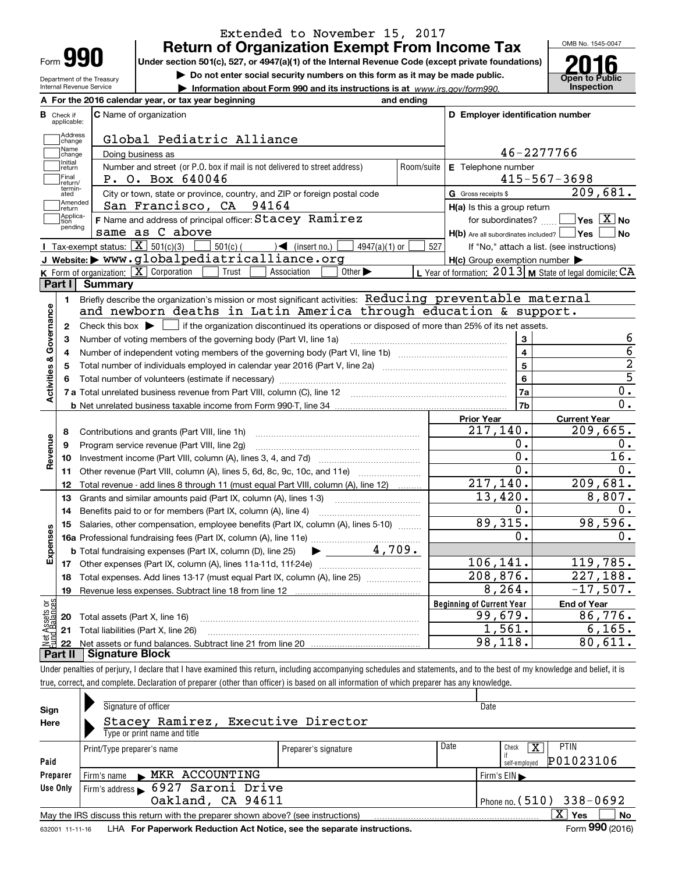| Form |  |
|------|--|

### **Return of Organization Exempt From Income Tax** Extended to November 15, 2017

**Under section 501(c), 527, or 4947(a)(1) of the Internal Revenue Code (except private foundations)**

Department of the Treasury Internal Revenue Service

**| Do not enter social security numbers on this form as it may be made public.**

**| Information about Form 990 and its instructions is at www.irs.gov/form990.** | Inspection



|                              | A For the 2016 calendar year, or tax year beginning                                                                                                 | and ending |                                                     |                                                                 |
|------------------------------|-----------------------------------------------------------------------------------------------------------------------------------------------------|------------|-----------------------------------------------------|-----------------------------------------------------------------|
| В<br>Check if<br>applicable: | <b>C</b> Name of organization                                                                                                                       |            | D Employer identification number                    |                                                                 |
| Address<br>change            | Global Pediatric Alliance                                                                                                                           |            |                                                     |                                                                 |
| Name<br>change               | Doing business as                                                                                                                                   |            |                                                     | 46-2277766                                                      |
| Initial<br>return            | Number and street (or P.O. box if mail is not delivered to street address)                                                                          | Room/suite | E Telephone number                                  |                                                                 |
| Final<br>return/             | P. O. Box 640046                                                                                                                                    |            |                                                     | $415 - 567 - 3698$                                              |
| termin-<br>ated              | City or town, state or province, country, and ZIP or foreign postal code                                                                            |            | G Gross receipts \$                                 | 209,681.                                                        |
| Amended<br>Ireturn           | San Francisco, CA 94164                                                                                                                             |            | H(a) Is this a group return                         |                                                                 |
| Applica-<br>tion             | F Name and address of principal officer: Stacey Ramirez                                                                                             |            | for subordinates?                                   | $\overline{\mathsf{Yes} \mathrel{\hspace{0.5pt}\mathsf{X}}}$ No |
| pending                      | same as C above                                                                                                                                     |            | $H(b)$ Are all subordinates included? $\Box$ Yes    | N <sub>o</sub>                                                  |
|                              | Tax-exempt status: $\boxed{\mathbf{X}}$ 501(c)(3)<br>$\sum$ (insert no.)<br>$\vert$ 501(c) (<br>$4947(a)(1)$ or                                     | 527        |                                                     | If "No," attach a list. (see instructions)                      |
|                              | J Website: > www.globalpediatricalliance.org                                                                                                        |            | $H(c)$ Group exemption number $\blacktriangleright$ |                                                                 |
|                              | <b>K</b> Form of organization: $\boxed{\mathbf{X}}$ Corporation<br>Trust<br>Other $\blacktriangleright$<br>Association                              |            |                                                     | L Year of formation: $2013$ M State of legal domicile: CA       |
| Part I                       | <b>Summary</b>                                                                                                                                      |            |                                                     |                                                                 |
| 1.                           | Briefly describe the organization's mission or most significant activities: Reducing preventable maternal                                           |            |                                                     |                                                                 |
|                              | and newborn deaths in Latin America through education & support.                                                                                    |            |                                                     |                                                                 |
| $\mathbf{2}$                 | Check this box $\blacktriangleright$ $\blacksquare$ if the organization discontinued its operations or disposed of more than 25% of its net assets. |            |                                                     |                                                                 |
| 3                            | Number of voting members of the governing body (Part VI, line 1a)                                                                                   |            | 3                                                   | 6                                                               |
| 4                            |                                                                                                                                                     |            | $\overline{\mathbf{4}}$                             | $\overline{6}$                                                  |
| 5                            |                                                                                                                                                     |            | 5                                                   | $\overline{2}$                                                  |
| Activities & Governance      |                                                                                                                                                     |            | $\overline{6}$                                      | $\overline{5}$                                                  |
|                              |                                                                                                                                                     |            | 7a                                                  | $\overline{0}$ .                                                |
|                              |                                                                                                                                                     |            | 7b                                                  | $\overline{0}$ .                                                |
|                              |                                                                                                                                                     |            | <b>Prior Year</b>                                   | <b>Current Year</b>                                             |
| 8                            | Contributions and grants (Part VIII, line 1h)                                                                                                       |            | 217,140.                                            | 209,665.                                                        |
| Revenue<br>9                 | Program service revenue (Part VIII, line 2g)                                                                                                        |            | 0.                                                  | 0.                                                              |
| 10                           |                                                                                                                                                     |            | о.                                                  | 16.                                                             |
| 11                           | Other revenue (Part VIII, column (A), lines 5, 6d, 8c, 9c, 10c, and 11e)                                                                            |            | 0.                                                  | 0.                                                              |
| 12                           | Total revenue - add lines 8 through 11 (must equal Part VIII, column (A), line 12)                                                                  |            | 217, 140.                                           | 209,681.                                                        |
| 13                           | Grants and similar amounts paid (Part IX, column (A), lines 1-3)                                                                                    |            | 13,420.                                             | 8,807.                                                          |
| 14                           |                                                                                                                                                     |            | 0.                                                  | 0.                                                              |
| 15                           | Salaries, other compensation, employee benefits (Part IX, column (A), lines 5-10)                                                                   |            | 89,315.                                             | 98,596.                                                         |
|                              |                                                                                                                                                     |            | 0.                                                  | 0.                                                              |
| Expenses                     | $\blacktriangleright$ 4,709.<br><b>b</b> Total fundraising expenses (Part IX, column (D), line 25)                                                  |            |                                                     |                                                                 |
|                              |                                                                                                                                                     |            | 106, 141.                                           | 119,785.                                                        |
| 18                           | Total expenses. Add lines 13-17 (must equal Part IX, column (A), line 25) [                                                                         |            | 208,876.                                            | 227,188.                                                        |
| 19                           |                                                                                                                                                     |            | 8, 264.                                             | $-17,507.$                                                      |
| ăğ                           |                                                                                                                                                     |            | <b>Beginning of Current Year</b>                    | <b>End of Year</b>                                              |
| sets<br>alam<br>20           | Total assets (Part X, line 16)                                                                                                                      |            | 99,679.                                             | 86,776.                                                         |
|                              | 21 Total liabilities (Part X, line 26)                                                                                                              |            | 1,561.                                              | 6, 165.                                                         |
| 22                           |                                                                                                                                                     |            | 98,118.                                             | 80,611.                                                         |
| Part II                      | <b>Signature Block</b>                                                                                                                              |            |                                                     |                                                                 |

Under penalties of perjury, I declare that I have examined this return, including accompanying schedules and statements, and to the best of my knowledge and belief, it is true, correct, and complete. Declaration of preparer (other than officer) is based on all information of which preparer has any knowledge.

|                 |                                                                                                                                                                                                                                                                                            | Date<br>Date<br><b>PTIN</b><br>х<br>Check<br>Preparer's signature<br>P01023106<br>self-emploved<br>Firm's $EIN \blacktriangleright$<br>Phone no. $(510)$ 338-0692<br>X <sup>1</sup><br>No<br>Yes |  |                 |
|-----------------|--------------------------------------------------------------------------------------------------------------------------------------------------------------------------------------------------------------------------------------------------------------------------------------------|--------------------------------------------------------------------------------------------------------------------------------------------------------------------------------------------------|--|-----------------|
| Sign            | Signature of officer                                                                                                                                                                                                                                                                       |                                                                                                                                                                                                  |  |                 |
| Here            |                                                                                                                                                                                                                                                                                            |                                                                                                                                                                                                  |  |                 |
|                 |                                                                                                                                                                                                                                                                                            |                                                                                                                                                                                                  |  |                 |
|                 | Print/Type preparer's name                                                                                                                                                                                                                                                                 |                                                                                                                                                                                                  |  |                 |
| Paid            |                                                                                                                                                                                                                                                                                            |                                                                                                                                                                                                  |  |                 |
| Preparer        | Firm's name MKR ACCOUNTING                                                                                                                                                                                                                                                                 |                                                                                                                                                                                                  |  |                 |
| Use Only        |                                                                                                                                                                                                                                                                                            |                                                                                                                                                                                                  |  |                 |
|                 | Stacey Ramirez, Executive Director<br>Type or print name and title<br>Firm's address 6927 Saroni Drive<br>Oakland, CA 94611<br>May the IRS discuss this return with the preparer shown above? (see instructions)<br>LHA For Paperwork Reduction Act Notice, see the separate instructions. |                                                                                                                                                                                                  |  |                 |
|                 |                                                                                                                                                                                                                                                                                            |                                                                                                                                                                                                  |  |                 |
| 632001 11-11-16 |                                                                                                                                                                                                                                                                                            |                                                                                                                                                                                                  |  | Form 990 (2016) |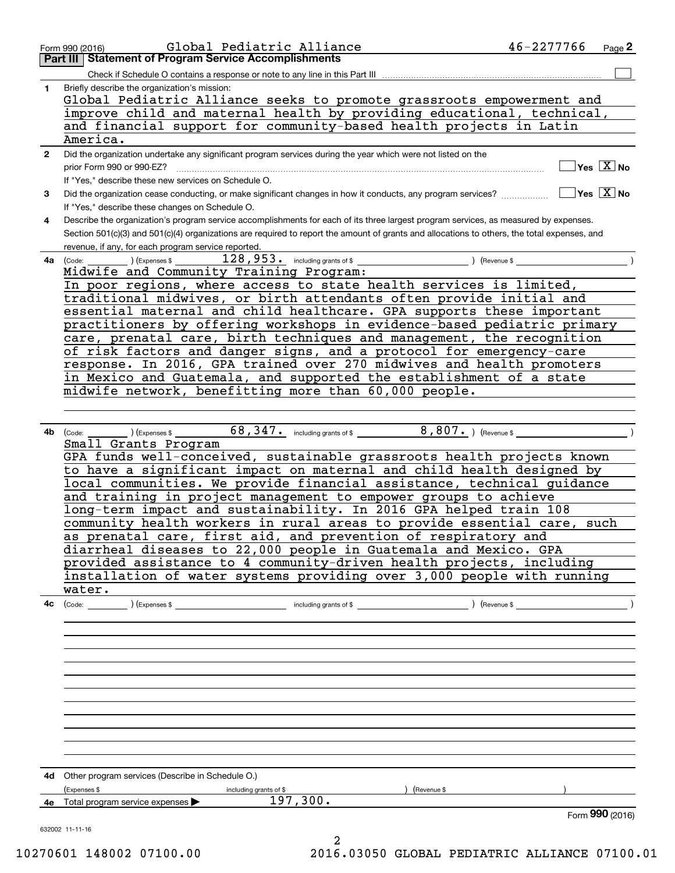|              | 46-2277766<br>Global Pediatric Alliance<br>Form 990 (2016)                                                                                   | Page 2 |
|--------------|----------------------------------------------------------------------------------------------------------------------------------------------|--------|
|              | <b>Part III   Statement of Program Service Accomplishments</b>                                                                               |        |
|              | Check if Schedule O contains a response or note to any line in this Part III                                                                 |        |
| $\mathbf 1$  | Briefly describe the organization's mission:                                                                                                 |        |
|              | Global Pediatric Alliance seeks to promote grassroots empowerment and                                                                        |        |
|              | improve child and maternal health by providing educational, technical,                                                                       |        |
|              | and financial support for community-based health projects in Latin                                                                           |        |
|              | America.                                                                                                                                     |        |
| $\mathbf{2}$ | Did the organization undertake any significant program services during the year which were not listed on the                                 |        |
|              | $\overline{\ }$ Yes $\overline{\phantom{X}}$ No<br>prior Form 990 or 990-EZ?                                                                 |        |
|              | If "Yes," describe these new services on Schedule O.                                                                                         |        |
| 3            |                                                                                                                                              |        |
|              | If "Yes," describe these changes on Schedule O.                                                                                              |        |
| 4            | Describe the organization's program service accomplishments for each of its three largest program services, as measured by expenses.         |        |
|              | Section 501(c)(3) and 501(c)(4) organizations are required to report the amount of grants and allocations to others, the total expenses, and |        |
|              | revenue, if any, for each program service reported.                                                                                          |        |
| 4a           |                                                                                                                                              |        |
|              | Midwife and Community Training Program:                                                                                                      |        |
|              | In poor regions, where access to state health services is limited,                                                                           |        |
|              | traditional midwives, or birth attendants often provide initial and                                                                          |        |
|              | essential maternal and child healthcare. GPA supports these important                                                                        |        |
|              | practitioners by offering workshops in evidence-based pediatric primary                                                                      |        |
|              | care, prenatal care, birth techniques and management, the recognition                                                                        |        |
|              | of risk factors and danger signs, and a protocol for emergency-care                                                                          |        |
|              | response. In 2016, GPA trained over 270 midwives and health promoters                                                                        |        |
|              | in Mexico and Guatemala, and supported the establishment of a state                                                                          |        |
|              | midwife network, benefitting more than 60,000 people.                                                                                        |        |
|              |                                                                                                                                              |        |
|              |                                                                                                                                              |        |
|              |                                                                                                                                              |        |
|              | 4b (Code: __                                                                                                                                 |        |
|              | Small Grants Program<br>GPA funds well-conceived, sustainable grassroots health projects known                                               |        |
|              | to have a significant impact on maternal and child health designed by                                                                        |        |
|              |                                                                                                                                              |        |
|              | local communities. We provide financial assistance, technical guidance                                                                       |        |
|              | and training in project management to empower groups to achieve                                                                              |        |
|              | long-term impact and sustainability. In 2016 GPA helped train 108<br>community health workers in rural areas to provide essential care, such |        |
|              |                                                                                                                                              |        |
|              | as prenatal care, first aid, and prevention of respiratory and<br>diarrheal diseases to 22,000 people in Guatemala and Mexico. GPA           |        |
|              | provided assistance to 4 community-driven health projects, including                                                                         |        |
|              | installation of water systems providing over 3,000 people with running                                                                       |        |
|              | water.                                                                                                                                       |        |
|              |                                                                                                                                              |        |
|              |                                                                                                                                              |        |
|              |                                                                                                                                              |        |
|              |                                                                                                                                              |        |
|              |                                                                                                                                              |        |
|              |                                                                                                                                              |        |
|              |                                                                                                                                              |        |
|              |                                                                                                                                              |        |
|              |                                                                                                                                              |        |
|              |                                                                                                                                              |        |
|              |                                                                                                                                              |        |
|              |                                                                                                                                              |        |
|              |                                                                                                                                              |        |
|              |                                                                                                                                              |        |
|              | 4d Other program services (Describe in Schedule O.)                                                                                          |        |
|              | (Expenses \$<br>) (Revenue \$<br>including grants of \$                                                                                      |        |
|              | 197,300.<br>4e Total program service expenses >                                                                                              |        |
|              | Form 990 (2016)                                                                                                                              |        |
|              | 632002 11-11-16                                                                                                                              |        |

2 10270601 148002 07100.00 2016.03050 GLOBAL PEDIATRIC ALLIANCE 07100.01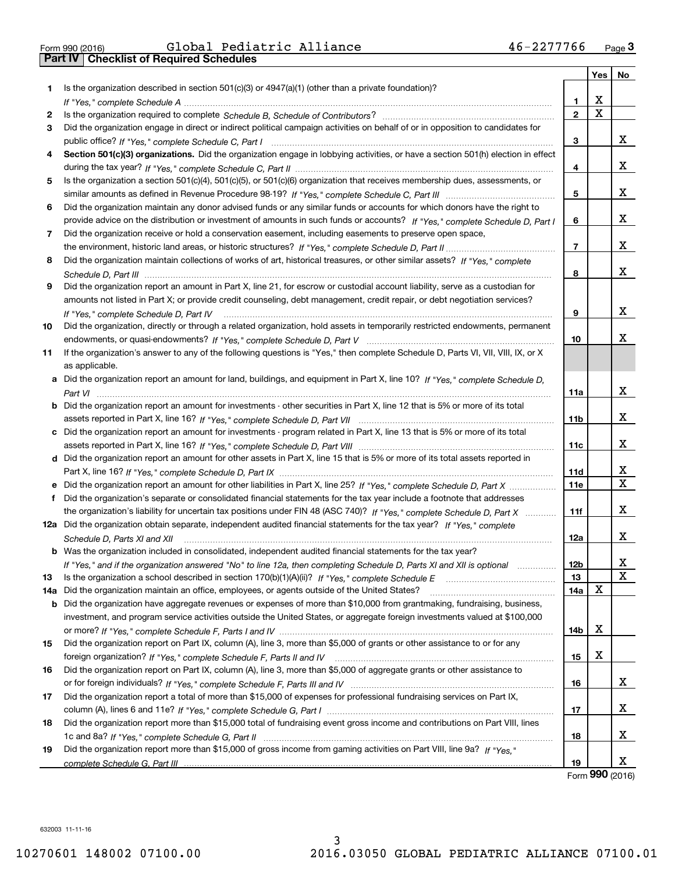| Form 990 (2016) |  |  |
|-----------------|--|--|

|     |                                                                                                                                                    |                | Yes                     | No                           |
|-----|----------------------------------------------------------------------------------------------------------------------------------------------------|----------------|-------------------------|------------------------------|
| 1.  | Is the organization described in section $501(c)(3)$ or $4947(a)(1)$ (other than a private foundation)?                                            |                |                         |                              |
|     |                                                                                                                                                    | 1              | X                       |                              |
| 2   |                                                                                                                                                    | $\overline{2}$ | $\overline{\textbf{x}}$ |                              |
| 3   | Did the organization engage in direct or indirect political campaign activities on behalf of or in opposition to candidates for                    |                |                         |                              |
|     |                                                                                                                                                    | 3              |                         | x                            |
| 4   | Section 501(c)(3) organizations. Did the organization engage in lobbying activities, or have a section 501(h) election in effect                   |                |                         |                              |
|     |                                                                                                                                                    | 4              |                         | x                            |
| 5   | Is the organization a section 501(c)(4), 501(c)(5), or 501(c)(6) organization that receives membership dues, assessments, or                       |                |                         |                              |
|     |                                                                                                                                                    | 5              |                         | x                            |
| 6   | Did the organization maintain any donor advised funds or any similar funds or accounts for which donors have the right to                          |                |                         |                              |
|     | provide advice on the distribution or investment of amounts in such funds or accounts? If "Yes," complete Schedule D, Part I                       | 6              |                         | x                            |
| 7   | Did the organization receive or hold a conservation easement, including easements to preserve open space,                                          |                |                         |                              |
|     |                                                                                                                                                    | $\overline{7}$ |                         | x                            |
| 8   | Did the organization maintain collections of works of art, historical treasures, or other similar assets? If "Yes," complete                       |                |                         |                              |
|     |                                                                                                                                                    | 8              |                         | X                            |
| 9   | Did the organization report an amount in Part X, line 21, for escrow or custodial account liability, serve as a custodian for                      |                |                         |                              |
|     | amounts not listed in Part X; or provide credit counseling, debt management, credit repair, or debt negotiation services?                          |                |                         |                              |
|     | If "Yes," complete Schedule D, Part IV                                                                                                             | 9              |                         | x                            |
| 10  | Did the organization, directly or through a related organization, hold assets in temporarily restricted endowments, permanent                      |                |                         |                              |
|     |                                                                                                                                                    | 10             |                         | х                            |
| 11  | If the organization's answer to any of the following questions is "Yes," then complete Schedule D, Parts VI, VIII, VIII, IX, or X                  |                |                         |                              |
|     | as applicable.                                                                                                                                     |                |                         |                              |
|     | a Did the organization report an amount for land, buildings, and equipment in Part X, line 10? If "Yes," complete Schedule D,                      |                |                         |                              |
|     |                                                                                                                                                    | 11a            |                         | X                            |
|     | <b>b</b> Did the organization report an amount for investments - other securities in Part X, line 12 that is 5% or more of its total               |                |                         |                              |
|     |                                                                                                                                                    | 11b            |                         | x                            |
|     | c Did the organization report an amount for investments - program related in Part X, line 13 that is 5% or more of its total                       |                |                         |                              |
|     |                                                                                                                                                    | 11c            |                         | x                            |
|     | d Did the organization report an amount for other assets in Part X, line 15 that is 5% or more of its total assets reported in                     |                |                         |                              |
|     |                                                                                                                                                    | 11d            |                         | x<br>$\overline{\mathbf{x}}$ |
|     |                                                                                                                                                    | <b>11e</b>     |                         |                              |
| f   | Did the organization's separate or consolidated financial statements for the tax year include a footnote that addresses                            |                |                         | x                            |
|     | the organization's liability for uncertain tax positions under FIN 48 (ASC 740)? If "Yes," complete Schedule D, Part X                             | 11f            |                         |                              |
|     | 12a Did the organization obtain separate, independent audited financial statements for the tax year? If "Yes," complete                            |                |                         | x                            |
|     | Schedule D, Parts XI and XII<br><b>b</b> Was the organization included in consolidated, independent audited financial statements for the tax year? | 12a            |                         |                              |
|     |                                                                                                                                                    | 12b            |                         | x                            |
| 13  | If "Yes," and if the organization answered "No" to line 12a, then completing Schedule D, Parts XI and XII is optional manum                        | 13             |                         | $\overline{\mathbf{X}}$      |
| 14a | Did the organization maintain an office, employees, or agents outside of the United States?                                                        | 14a            | X                       |                              |
|     | <b>b</b> Did the organization have aggregate revenues or expenses of more than \$10,000 from grantmaking, fundraising, business,                   |                |                         |                              |
|     | investment, and program service activities outside the United States, or aggregate foreign investments valued at \$100,000                         |                |                         |                              |
|     |                                                                                                                                                    | 14b            | X                       |                              |
| 15  | Did the organization report on Part IX, column (A), line 3, more than \$5,000 of grants or other assistance to or for any                          |                |                         |                              |
|     |                                                                                                                                                    | 15             | X                       |                              |
| 16  | Did the organization report on Part IX, column (A), line 3, more than \$5,000 of aggregate grants or other assistance to                           |                |                         |                              |
|     |                                                                                                                                                    | 16             |                         | x                            |
| 17  | Did the organization report a total of more than \$15,000 of expenses for professional fundraising services on Part IX,                            |                |                         |                              |
|     |                                                                                                                                                    | 17             |                         | х                            |
| 18  | Did the organization report more than \$15,000 total of fundraising event gross income and contributions on Part VIII, lines                       |                |                         |                              |
|     |                                                                                                                                                    | 18             |                         | х                            |
| 19  | Did the organization report more than \$15,000 of gross income from gaming activities on Part VIII, line 9a? If "Yes."                             |                |                         |                              |
|     |                                                                                                                                                    | 19             |                         | х                            |

Form (2016) **990**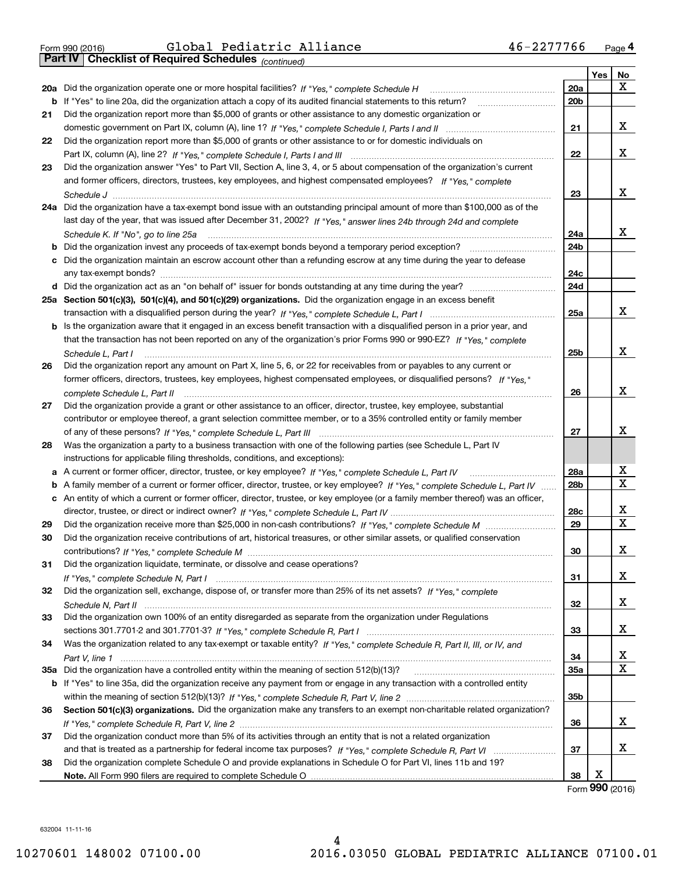| Form 990 (2016) |  |  |
|-----------------|--|--|

*(continued)*

|    |                                                                                                                                   |                 | Yes | No          |
|----|-----------------------------------------------------------------------------------------------------------------------------------|-----------------|-----|-------------|
|    | 20a Did the organization operate one or more hospital facilities? If "Yes," complete Schedule H                                   | <b>20a</b>      |     | x           |
|    | b If "Yes" to line 20a, did the organization attach a copy of its audited financial statements to this return?                    | 20 <sub>b</sub> |     |             |
| 21 | Did the organization report more than \$5,000 of grants or other assistance to any domestic organization or                       |                 |     |             |
|    |                                                                                                                                   | 21              |     | х           |
| 22 | Did the organization report more than \$5,000 of grants or other assistance to or for domestic individuals on                     |                 |     |             |
|    |                                                                                                                                   | 22              |     | x           |
| 23 | Did the organization answer "Yes" to Part VII, Section A, line 3, 4, or 5 about compensation of the organization's current        |                 |     |             |
|    | and former officers, directors, trustees, key employees, and highest compensated employees? If "Yes," complete                    |                 |     |             |
|    |                                                                                                                                   | 23              |     | x           |
|    | 24a Did the organization have a tax-exempt bond issue with an outstanding principal amount of more than \$100,000 as of the       |                 |     |             |
|    | last day of the year, that was issued after December 31, 2002? If "Yes," answer lines 24b through 24d and complete                |                 |     |             |
|    | Schedule K. If "No", go to line 25a                                                                                               | 24a             |     | x           |
|    |                                                                                                                                   | 24 <sub>b</sub> |     |             |
|    | c Did the organization maintain an escrow account other than a refunding escrow at any time during the year to defease            |                 |     |             |
|    |                                                                                                                                   | 24c             |     |             |
|    |                                                                                                                                   | 24d             |     |             |
|    | 25a Section 501(c)(3), 501(c)(4), and 501(c)(29) organizations. Did the organization engage in an excess benefit                  |                 |     |             |
|    |                                                                                                                                   | 25a             |     | x           |
|    | b Is the organization aware that it engaged in an excess benefit transaction with a disqualified person in a prior year, and      |                 |     |             |
|    | that the transaction has not been reported on any of the organization's prior Forms 990 or 990-EZ? If "Yes," complete             |                 |     |             |
|    | Schedule L. Part I                                                                                                                | 25b             |     | x           |
| 26 | Did the organization report any amount on Part X, line 5, 6, or 22 for receivables from or payables to any current or             |                 |     |             |
|    | former officers, directors, trustees, key employees, highest compensated employees, or disqualified persons? If "Yes."            |                 |     |             |
|    | complete Schedule L, Part II                                                                                                      | 26              |     | x           |
| 27 | Did the organization provide a grant or other assistance to an officer, director, trustee, key employee, substantial              |                 |     |             |
|    | contributor or employee thereof, a grant selection committee member, or to a 35% controlled entity or family member               |                 |     |             |
|    |                                                                                                                                   | 27              |     | x           |
| 28 | Was the organization a party to a business transaction with one of the following parties (see Schedule L, Part IV                 |                 |     |             |
|    | instructions for applicable filing thresholds, conditions, and exceptions):                                                       |                 |     |             |
|    | a A current or former officer, director, trustee, or key employee? If "Yes," complete Schedule L, Part IV                         | 28a             |     | x           |
|    | b A family member of a current or former officer, director, trustee, or key employee? If "Yes," complete Schedule L, Part IV      | 28 <sub>b</sub> |     | X           |
|    | c An entity of which a current or former officer, director, trustee, or key employee (or a family member thereof) was an officer, |                 |     |             |
|    |                                                                                                                                   | 28c             |     | х           |
| 29 |                                                                                                                                   | 29              |     | $\mathbf X$ |
| 30 | Did the organization receive contributions of art, historical treasures, or other similar assets, or qualified conservation       |                 |     |             |
|    |                                                                                                                                   | 30              |     | х           |
| 31 | Did the organization liquidate, terminate, or dissolve and cease operations?                                                      |                 |     |             |
|    |                                                                                                                                   | 31              |     | X           |
| 32 | Did the organization sell, exchange, dispose of, or transfer more than 25% of its net assets? If "Yes." complete                  |                 |     |             |
|    |                                                                                                                                   | 32              |     | x           |
| 33 | Did the organization own 100% of an entity disregarded as separate from the organization under Regulations                        |                 |     | x           |
|    |                                                                                                                                   | 33              |     |             |
| 34 | Was the organization related to any tax-exempt or taxable entity? If "Yes," complete Schedule R, Part II, III, or IV, and         |                 |     |             |
|    | 35a Did the organization have a controlled entity within the meaning of section 512(b)(13)?                                       | 34              |     | х<br>X      |
|    |                                                                                                                                   | 35a             |     |             |
|    | b If "Yes" to line 35a, did the organization receive any payment from or engage in any transaction with a controlled entity       |                 |     |             |
|    | Section 501(c)(3) organizations. Did the organization make any transfers to an exempt non-charitable related organization?        | 35b             |     |             |
| 36 |                                                                                                                                   | 36              |     | x           |
|    | Did the organization conduct more than 5% of its activities through an entity that is not a related organization                  |                 |     |             |
| 37 |                                                                                                                                   | 37              |     | x           |
|    |                                                                                                                                   |                 |     |             |
| 38 | Did the organization complete Schedule O and provide explanations in Schedule O for Part VI, lines 11b and 19?                    | 38              | Х   |             |
|    |                                                                                                                                   |                 |     |             |

Form (2016) **990**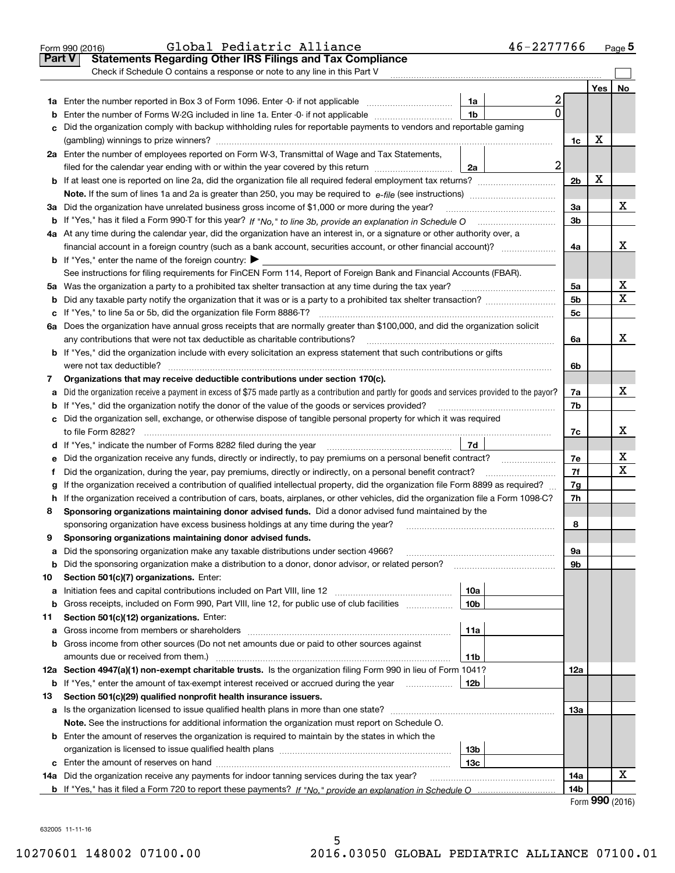|        | 46-2277766<br>Global Pediatric Alliance<br>Form 990 (2016)                                                                                      |                |                          | $Page$ <sup>5</sup> |
|--------|-------------------------------------------------------------------------------------------------------------------------------------------------|----------------|--------------------------|---------------------|
| Part V | <b>Statements Regarding Other IRS Filings and Tax Compliance</b>                                                                                |                |                          |                     |
|        | Check if Schedule O contains a response or note to any line in this Part V                                                                      |                |                          |                     |
|        |                                                                                                                                                 |                | Yes                      | No                  |
|        | 2<br>1a<br>1a Enter the number reported in Box 3 of Form 1096. Enter -0- if not applicable                                                      |                |                          |                     |
| b      | $\Omega$<br>1 <sub>b</sub><br>Enter the number of Forms W-2G included in line 1a. Enter -0- if not applicable                                   |                |                          |                     |
| c      | Did the organization comply with backup withholding rules for reportable payments to vendors and reportable gaming                              |                |                          |                     |
|        |                                                                                                                                                 | 1c             | х                        |                     |
|        | 2a Enter the number of employees reported on Form W-3, Transmittal of Wage and Tax Statements,                                                  |                |                          |                     |
|        | $\boldsymbol{2}$<br>2a<br>filed for the calendar year ending with or within the year covered by this return                                     |                |                          |                     |
|        |                                                                                                                                                 | 2 <sub>b</sub> | X                        |                     |
|        |                                                                                                                                                 |                |                          |                     |
|        | 3a Did the organization have unrelated business gross income of \$1,000 or more during the year?                                                | 3a             |                          | х                   |
|        |                                                                                                                                                 | 3 <sub>b</sub> |                          |                     |
|        | 4a At any time during the calendar year, did the organization have an interest in, or a signature or other authority over, a                    |                |                          |                     |
|        | financial account in a foreign country (such as a bank account, securities account, or other financial account)?                                | 4a             |                          | х                   |
|        | <b>b</b> If "Yes," enter the name of the foreign country: $\blacktriangleright$                                                                 |                |                          |                     |
|        | See instructions for filing requirements for FinCEN Form 114, Report of Foreign Bank and Financial Accounts (FBAR).                             |                |                          |                     |
|        | 5a Was the organization a party to a prohibited tax shelter transaction at any time during the tax year?                                        | 5a             |                          | х                   |
|        |                                                                                                                                                 | 5 <sub>b</sub> |                          | $\mathbf X$         |
|        |                                                                                                                                                 | 5c             |                          |                     |
|        | 6a Does the organization have annual gross receipts that are normally greater than \$100,000, and did the organization solicit                  |                |                          |                     |
|        | any contributions that were not tax deductible as charitable contributions?                                                                     | 6a             |                          | x                   |
|        | b If "Yes," did the organization include with every solicitation an express statement that such contributions or gifts                          |                |                          |                     |
|        | were not tax deductible?                                                                                                                        | 6b             |                          |                     |
| 7      | Organizations that may receive deductible contributions under section 170(c).                                                                   |                |                          |                     |
| а      | Did the organization receive a payment in excess of \$75 made partly as a contribution and partly for goods and services provided to the payor? | 7a             |                          | x                   |
|        | <b>b</b> If "Yes," did the organization notify the donor of the value of the goods or services provided?                                        | 7b             |                          |                     |
|        | c Did the organization sell, exchange, or otherwise dispose of tangible personal property for which it was required                             |                |                          |                     |
|        |                                                                                                                                                 | 7c             |                          | х                   |
|        | 7d<br>d If "Yes," indicate the number of Forms 8282 filed during the year manufactured intervent in the summan summa                            |                |                          |                     |
|        | e Did the organization receive any funds, directly or indirectly, to pay premiums on a personal benefit contract?                               | 7e             |                          | х                   |
| f      | Did the organization, during the year, pay premiums, directly or indirectly, on a personal benefit contract?                                    | 7f             |                          | $\mathbf X$         |
| g      | If the organization received a contribution of qualified intellectual property, did the organization file Form 8899 as required?                | 7g             |                          |                     |
|        | h If the organization received a contribution of cars, boats, airplanes, or other vehicles, did the organization file a Form 1098-C?            | 7h             |                          |                     |
| 8      | Sponsoring organizations maintaining donor advised funds. Did a donor advised fund maintained by the                                            |                |                          |                     |
|        | sponsoring organization have excess business holdings at any time during the year?                                                              | 8              |                          |                     |
| 9      | Sponsoring organizations maintaining donor advised funds.                                                                                       |                |                          |                     |
| а      | Did the sponsoring organization make any taxable distributions under section 4966?                                                              | 9а             |                          |                     |
| b      | Did the sponsoring organization make a distribution to a donor, donor advisor, or related person?                                               | 9b             |                          |                     |
| 10     | Section 501(c)(7) organizations. Enter:                                                                                                         |                |                          |                     |
| а      | 10a                                                                                                                                             |                |                          |                     |
| b      | Gross receipts, included on Form 990, Part VIII, line 12, for public use of club facilities<br>10 <sub>b</sub>                                  |                |                          |                     |
| 11     | Section 501(c)(12) organizations. Enter:                                                                                                        |                |                          |                     |
| а      | 11a<br>Gross income from members or shareholders                                                                                                |                |                          |                     |
|        | b Gross income from other sources (Do not net amounts due or paid to other sources against                                                      |                |                          |                     |
|        | amounts due or received from them.)<br>11b                                                                                                      |                |                          |                     |
|        | 12a Section 4947(a)(1) non-exempt charitable trusts. Is the organization filing Form 990 in lieu of Form 1041?                                  | 12a            |                          |                     |
| b      | If "Yes," enter the amount of tax-exempt interest received or accrued during the year manu-<br>12b                                              |                |                          |                     |
| 13     | Section 501(c)(29) qualified nonprofit health insurance issuers.                                                                                |                |                          |                     |
|        | a Is the organization licensed to issue qualified health plans in more than one state?                                                          | 13а            |                          |                     |
|        | Note. See the instructions for additional information the organization must report on Schedule O.                                               |                |                          |                     |
|        | <b>b</b> Enter the amount of reserves the organization is required to maintain by the states in which the                                       |                |                          |                     |
|        | 13 <sub>b</sub>                                                                                                                                 |                |                          |                     |
|        | 13с                                                                                                                                             |                |                          |                     |
|        | 14a Did the organization receive any payments for indoor tanning services during the tax year?                                                  | 14a            |                          | х                   |
|        |                                                                                                                                                 | 14b            |                          |                     |
|        |                                                                                                                                                 |                | $\mathbf{QQ} \mathbf{Q}$ |                     |

Form (2016) **990**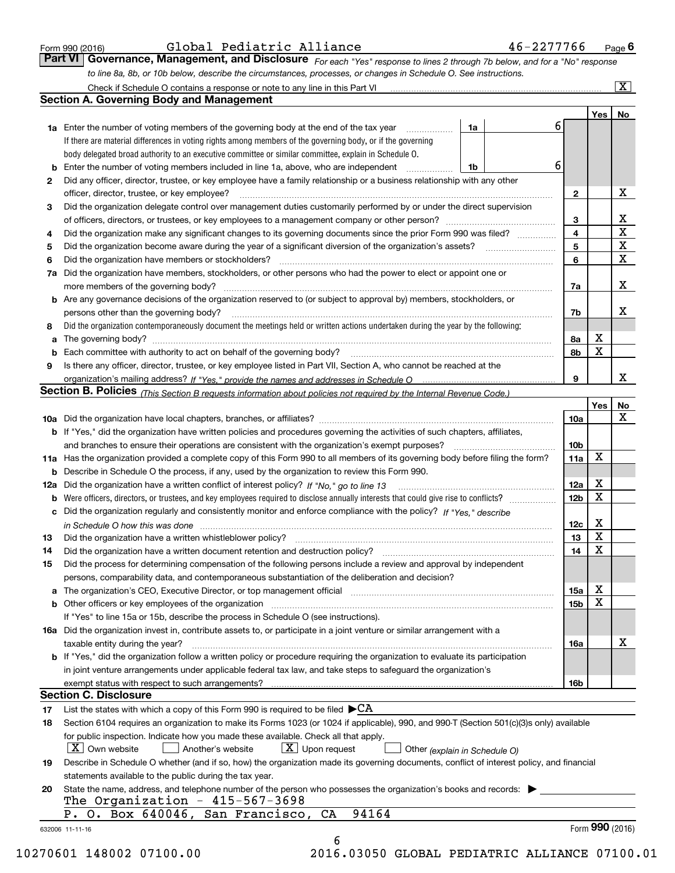|  | Form 990 (2016) |  |
|--|-----------------|--|
|  |                 |  |

| Form 990 (2016) | Global Pediatric Alliance | 46-2277766                                                                                                                    | $P$ <sub>age</sub> $6$ |
|-----------------|---------------------------|-------------------------------------------------------------------------------------------------------------------------------|------------------------|
|                 |                           | Part VI   Governance, Management, and Disclosure For each "Yes" response to lines 2 through 7b below, and for a "No" response |                        |
|                 |                           | to line 8a, 8b, or 10b below, describe the circumstances, processes, or changes in Schedule O. See instructions.              |                        |

|    |                                                                                                                                                                            |    |    |                 | Yes | No                      |
|----|----------------------------------------------------------------------------------------------------------------------------------------------------------------------------|----|----|-----------------|-----|-------------------------|
|    | <b>1a</b> Enter the number of voting members of the governing body at the end of the tax year<br>.                                                                         | 1a | 61 |                 |     |                         |
|    | If there are material differences in voting rights among members of the governing body, or if the governing                                                                |    |    |                 |     |                         |
|    | body delegated broad authority to an executive committee or similar committee, explain in Schedule O.                                                                      |    |    |                 |     |                         |
| b  | Enter the number of voting members included in line 1a, above, who are independent                                                                                         | 1b | 6  |                 |     |                         |
| 2  | Did any officer, director, trustee, or key employee have a family relationship or a business relationship with any other                                                   |    |    |                 |     |                         |
|    | officer, director, trustee, or key employee?                                                                                                                               |    |    | $\mathbf{2}$    |     | X                       |
| 3  | Did the organization delegate control over management duties customarily performed by or under the direct supervision                                                      |    |    |                 |     |                         |
|    |                                                                                                                                                                            |    |    | 3               |     | X                       |
| 4  | Did the organization make any significant changes to its governing documents since the prior Form 990 was filed?                                                           |    |    | 4               |     | $\overline{\mathbf{x}}$ |
| 5  |                                                                                                                                                                            |    |    | 5               |     | X                       |
|    | Did the organization have members or stockholders?                                                                                                                         |    |    | 6               |     | X                       |
| 6  |                                                                                                                                                                            |    |    |                 |     |                         |
| 7a | Did the organization have members, stockholders, or other persons who had the power to elect or appoint one or                                                             |    |    |                 |     |                         |
|    |                                                                                                                                                                            |    |    | 7a              |     | х                       |
|    | <b>b</b> Are any governance decisions of the organization reserved to (or subject to approval by) members, stockholders, or                                                |    |    |                 |     |                         |
|    | persons other than the governing body?                                                                                                                                     |    |    | 7b              |     | х                       |
| 8  | Did the organization contemporaneously document the meetings held or written actions undertaken during the year by the following:                                          |    |    |                 |     |                         |
| a  |                                                                                                                                                                            |    |    | 8a              | X   |                         |
| b  |                                                                                                                                                                            |    |    | 8b              | X   |                         |
| 9  | Is there any officer, director, trustee, or key employee listed in Part VII, Section A, who cannot be reached at the                                                       |    |    |                 |     |                         |
|    |                                                                                                                                                                            |    |    | 9               |     | х                       |
|    | <b>Section B. Policies</b> (This Section B requests information about policies not required by the Internal Revenue Code.)                                                 |    |    |                 |     |                         |
|    |                                                                                                                                                                            |    |    |                 | Yes | No                      |
|    |                                                                                                                                                                            |    |    | 10a             |     | X                       |
|    | <b>b</b> If "Yes," did the organization have written policies and procedures governing the activities of such chapters, affiliates,                                        |    |    |                 |     |                         |
|    |                                                                                                                                                                            |    |    | 10 <sub>b</sub> |     |                         |
|    | 11a Has the organization provided a complete copy of this Form 990 to all members of its governing body before filing the form?                                            |    |    | 11a             | X   |                         |
|    | <b>b</b> Describe in Schedule O the process, if any, used by the organization to review this Form 990.                                                                     |    |    |                 |     |                         |
|    |                                                                                                                                                                            |    |    | 12a             | Х   |                         |
| b  |                                                                                                                                                                            |    |    | 12b             | X   |                         |
|    | c Did the organization regularly and consistently monitor and enforce compliance with the policy? If "Yes." describe                                                       |    |    |                 |     |                         |
|    | in Schedule O how this was done manufactured and continuum control of the state of the state of the state of t                                                             |    |    | 12c             | Х   |                         |
| 13 |                                                                                                                                                                            |    |    | 13              | X   |                         |
| 14 | Did the organization have a written document retention and destruction policy? manufactured and the organization have a written document retention and destruction policy? |    |    | 14              | X   |                         |
| 15 | Did the process for determining compensation of the following persons include a review and approval by independent                                                         |    |    |                 |     |                         |
|    | persons, comparability data, and contemporaneous substantiation of the deliberation and decision?                                                                          |    |    |                 |     |                         |
|    |                                                                                                                                                                            |    |    |                 | X   |                         |
|    |                                                                                                                                                                            |    |    | <b>15a</b>      | X   |                         |
|    |                                                                                                                                                                            |    |    | 15b             |     |                         |
|    | If "Yes" to line 15a or 15b, describe the process in Schedule O (see instructions).                                                                                        |    |    |                 |     |                         |
|    | 16a Did the organization invest in, contribute assets to, or participate in a joint venture or similar arrangement with a                                                  |    |    |                 |     |                         |
|    | taxable entity during the year?                                                                                                                                            |    |    | 16a             |     | X                       |
|    | b If "Yes," did the organization follow a written policy or procedure requiring the organization to evaluate its participation                                             |    |    |                 |     |                         |
|    | in joint venture arrangements under applicable federal tax law, and take steps to safeguard the organization's                                                             |    |    |                 |     |                         |
|    | exempt status with respect to such arrangements?                                                                                                                           |    |    | 16b             |     |                         |
|    | <b>Section C. Disclosure</b>                                                                                                                                               |    |    |                 |     |                         |
| 17 | List the states with which a copy of this Form 990 is required to be filed $\blacktriangleright$ CA                                                                        |    |    |                 |     |                         |
| 18 | Section 6104 requires an organization to make its Forms 1023 (or 1024 if applicable), 990, and 990-T (Section 501(c)(3)s only) available                                   |    |    |                 |     |                         |
|    | for public inspection. Indicate how you made these available. Check all that apply.                                                                                        |    |    |                 |     |                         |
|    | $\boxed{\text{X}}$ Upon request<br>$\mid$ $\rm X \mid$ Own website<br>Another's website<br>Other (explain in Schedule O)                                                   |    |    |                 |     |                         |
| 19 | Describe in Schedule O whether (and if so, how) the organization made its governing documents, conflict of interest policy, and financial                                  |    |    |                 |     |                         |
|    | statements available to the public during the tax year.                                                                                                                    |    |    |                 |     |                         |
| 20 | State the name, address, and telephone number of the person who possesses the organization's books and records:                                                            |    |    |                 |     |                         |
|    | The Organization - $415-567-3698$                                                                                                                                          |    |    |                 |     |                         |
|    | 94164<br>P. O. Box 640046, San Francisco, CA                                                                                                                               |    |    |                 |     |                         |
|    |                                                                                                                                                                            |    |    |                 |     |                         |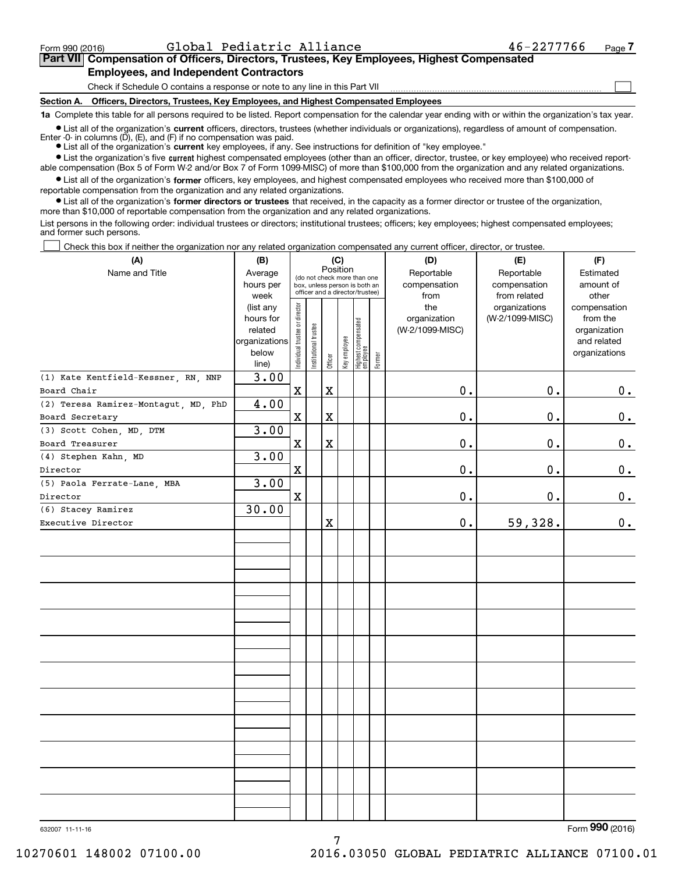$\mathcal{L}^{\text{max}}$ 

## **7Part VII Compensation of Officers, Directors, Trustees, Key Employees, Highest Compensated Employees, and Independent Contractors**

Check if Schedule O contains a response or note to any line in this Part VII

**Section A. Officers, Directors, Trustees, Key Employees, and Highest Compensated Employees**

**1a**  Complete this table for all persons required to be listed. Report compensation for the calendar year ending with or within the organization's tax year.

**•** List all of the organization's current officers, directors, trustees (whether individuals or organizations), regardless of amount of compensation. Enter -0- in columns  $(D)$ ,  $(E)$ , and  $(F)$  if no compensation was paid.

● List all of the organization's **current** key employees, if any. See instructions for definition of "key employee."

**•** List the organization's five current highest compensated employees (other than an officer, director, trustee, or key employee) who received reportable compensation (Box 5 of Form W-2 and/or Box 7 of Form 1099-MISC) of more than \$100,000 from the organization and any related organizations.

 $\bullet$  List all of the organization's **former** officers, key employees, and highest compensated employees who received more than \$100,000 of reportable compensation from the organization and any related organizations.

**•** List all of the organization's former directors or trustees that received, in the capacity as a former director or trustee of the organization, more than \$10,000 of reportable compensation from the organization and any related organizations.

List persons in the following order: individual trustees or directors; institutional trustees; officers; key employees; highest compensated employees; and former such persons.

Check this box if neither the organization nor any related organization compensated any current officer, director, or trustee.  $\mathcal{L}^{\text{max}}$ 

| (A)                                  | (B)<br>(C)<br>Position                                               |                                | (D)                   | (E)     |              |                                                                                                 |        |                                                |                                                  |                                                                          |
|--------------------------------------|----------------------------------------------------------------------|--------------------------------|-----------------------|---------|--------------|-------------------------------------------------------------------------------------------------|--------|------------------------------------------------|--------------------------------------------------|--------------------------------------------------------------------------|
| Name and Title                       | Average<br>hours per<br>week                                         |                                |                       |         |              | (do not check more than one<br>box, unless person is both an<br>officer and a director/trustee) |        | Reportable<br>compensation                     | Reportable<br>compensation                       | Estimated<br>amount of<br>other                                          |
|                                      | (list any<br>hours for<br>related<br>organizations<br>below<br>line) | Individual trustee or director | Institutional trustee | Officer | Key employee | Highest compensated<br>  employee                                                               | Former | from<br>the<br>organization<br>(W-2/1099-MISC) | from related<br>organizations<br>(W-2/1099-MISC) | compensation<br>from the<br>organization<br>and related<br>organizations |
| (1) Kate Kentfield-Kessner, RN, NNP  | 3.00                                                                 |                                |                       |         |              |                                                                                                 |        |                                                |                                                  |                                                                          |
| Board Chair                          |                                                                      | $\mathbf x$                    |                       | X       |              |                                                                                                 |        | 0.                                             | 0.                                               | $\mathbf 0$ .                                                            |
| (2) Teresa Ramirez-Montagut, MD, PhD | 4.00                                                                 |                                |                       |         |              |                                                                                                 |        |                                                |                                                  |                                                                          |
| Board Secretary                      |                                                                      | $\mathbf X$                    |                       | X       |              |                                                                                                 |        | 0.                                             | 0.                                               | $\mathbf 0$ .                                                            |
| (3) Scott Cohen, MD, DTM             | 3.00                                                                 |                                |                       |         |              |                                                                                                 |        |                                                |                                                  |                                                                          |
| Board Treasurer                      |                                                                      | $\mathbf x$                    |                       | X       |              |                                                                                                 |        | 0.                                             | 0.                                               | $\mathbf 0$ .                                                            |
| (4) Stephen Kahn, MD                 | 3.00                                                                 |                                |                       |         |              |                                                                                                 |        |                                                |                                                  |                                                                          |
| Director                             |                                                                      | $\mathbf X$                    |                       |         |              |                                                                                                 |        | 0.                                             | 0.                                               | $\mathbf 0$ .                                                            |
| (5) Paola Ferrate-Lane, MBA          | 3.00                                                                 |                                |                       |         |              |                                                                                                 |        |                                                |                                                  |                                                                          |
| Director<br>(6) Stacey Ramirez       |                                                                      | $\mathbf x$                    |                       |         |              |                                                                                                 |        | 0.                                             | 0.                                               | $\mathbf 0$ .                                                            |
| Executive Director                   | 30.00                                                                |                                |                       | X       |              |                                                                                                 |        | 0.                                             | 59,328.                                          | $\mathbf 0$ .                                                            |
|                                      |                                                                      |                                |                       |         |              |                                                                                                 |        |                                                |                                                  |                                                                          |
|                                      |                                                                      |                                |                       |         |              |                                                                                                 |        |                                                |                                                  |                                                                          |
|                                      |                                                                      |                                |                       |         |              |                                                                                                 |        |                                                |                                                  |                                                                          |
|                                      |                                                                      |                                |                       |         |              |                                                                                                 |        |                                                |                                                  |                                                                          |
|                                      |                                                                      |                                |                       |         |              |                                                                                                 |        |                                                |                                                  |                                                                          |
|                                      |                                                                      |                                |                       |         |              |                                                                                                 |        |                                                |                                                  |                                                                          |
|                                      |                                                                      |                                |                       |         |              |                                                                                                 |        |                                                |                                                  |                                                                          |
|                                      |                                                                      |                                |                       |         |              |                                                                                                 |        |                                                |                                                  |                                                                          |
|                                      |                                                                      |                                |                       |         |              |                                                                                                 |        |                                                |                                                  |                                                                          |
|                                      |                                                                      |                                |                       |         |              |                                                                                                 |        |                                                |                                                  |                                                                          |
|                                      |                                                                      |                                |                       |         |              |                                                                                                 |        |                                                |                                                  |                                                                          |
|                                      |                                                                      |                                |                       |         |              |                                                                                                 |        |                                                |                                                  |                                                                          |
|                                      |                                                                      |                                |                       |         |              |                                                                                                 |        |                                                |                                                  |                                                                          |
|                                      |                                                                      |                                |                       |         |              |                                                                                                 |        |                                                |                                                  |                                                                          |
|                                      |                                                                      |                                |                       |         |              |                                                                                                 |        |                                                |                                                  |                                                                          |
|                                      |                                                                      |                                |                       |         |              |                                                                                                 |        |                                                |                                                  |                                                                          |
|                                      |                                                                      |                                |                       |         |              |                                                                                                 |        |                                                |                                                  |                                                                          |
|                                      |                                                                      |                                |                       |         |              |                                                                                                 |        |                                                |                                                  |                                                                          |
|                                      |                                                                      |                                |                       |         |              |                                                                                                 |        |                                                |                                                  |                                                                          |
|                                      |                                                                      |                                |                       |         |              |                                                                                                 |        |                                                |                                                  |                                                                          |
|                                      |                                                                      |                                |                       |         |              |                                                                                                 |        |                                                |                                                  |                                                                          |
|                                      |                                                                      |                                |                       |         |              |                                                                                                 |        |                                                |                                                  |                                                                          |

632007 11-11-16

Form (2016) **990**

7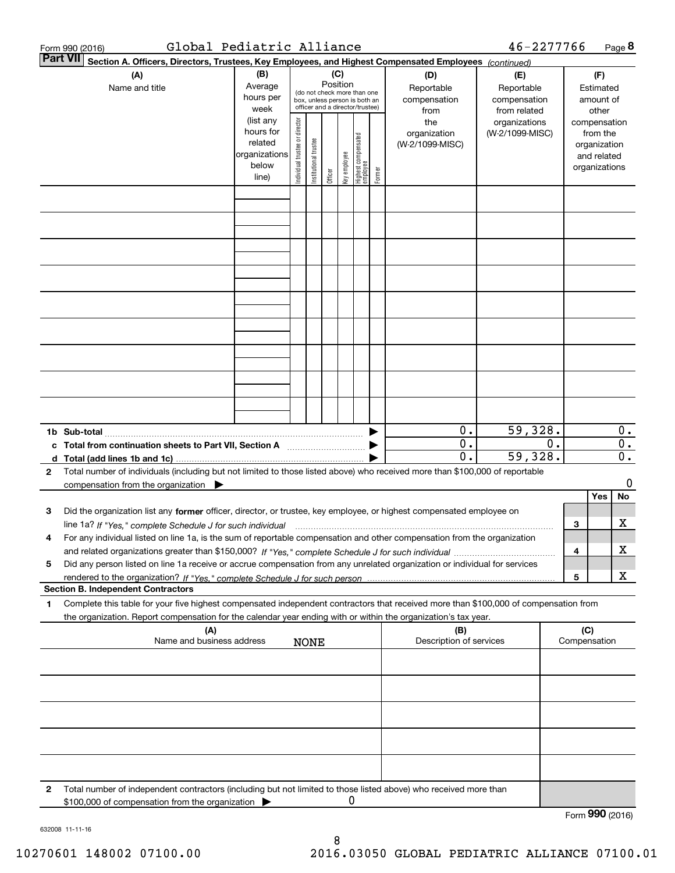|                 | Global Pediatric Alliance<br>Form 990 (2016)                                                                                                                                                                                                                                                        |                                                                              |                                                                                 |                       |         |              |                                                                        |                                   |                                                | 46-2277766                                       |    |                               |                                                                                   | Page 8                 |
|-----------------|-----------------------------------------------------------------------------------------------------------------------------------------------------------------------------------------------------------------------------------------------------------------------------------------------------|------------------------------------------------------------------------------|---------------------------------------------------------------------------------|-----------------------|---------|--------------|------------------------------------------------------------------------|-----------------------------------|------------------------------------------------|--------------------------------------------------|----|-------------------------------|-----------------------------------------------------------------------------------|------------------------|
| <b>Part VII</b> | Section A. Officers, Directors, Trustees, Key Employees, and Highest Compensated Employees (continued)                                                                                                                                                                                              |                                                                              |                                                                                 |                       |         |              |                                                                        |                                   |                                                |                                                  |    |                               |                                                                                   |                        |
|                 | (A)<br>Name and title                                                                                                                                                                                                                                                                               | (B)<br>Average<br>hours per                                                  | (C)<br>Position<br>(do not check more than one<br>box, unless person is both an |                       |         |              |                                                                        | (D)<br>Reportable<br>compensation | (E)<br>Reportable<br>compensation              |                                                  |    | (F)<br>Estimated<br>amount of |                                                                                   |                        |
|                 |                                                                                                                                                                                                                                                                                                     | week<br>(list any<br>hours for<br>related<br>organizations<br>below<br>line) | Individual trustee or director                                                  | Institutional trustee | Officer | Key employee | officer and a director/trustee)<br>  Highest compensated<br>  employee | Former                            | from<br>the<br>organization<br>(W-2/1099-MISC) | from related<br>organizations<br>(W-2/1099-MISC) |    |                               | other<br>compensation<br>from the<br>organization<br>and related<br>organizations |                        |
|                 |                                                                                                                                                                                                                                                                                                     |                                                                              |                                                                                 |                       |         |              |                                                                        |                                   |                                                |                                                  |    |                               |                                                                                   |                        |
|                 |                                                                                                                                                                                                                                                                                                     |                                                                              |                                                                                 |                       |         |              |                                                                        |                                   |                                                |                                                  |    |                               |                                                                                   |                        |
|                 |                                                                                                                                                                                                                                                                                                     |                                                                              |                                                                                 |                       |         |              |                                                                        |                                   |                                                |                                                  |    |                               |                                                                                   |                        |
|                 |                                                                                                                                                                                                                                                                                                     |                                                                              |                                                                                 |                       |         |              |                                                                        |                                   |                                                |                                                  |    |                               |                                                                                   |                        |
|                 |                                                                                                                                                                                                                                                                                                     |                                                                              |                                                                                 |                       |         |              |                                                                        |                                   |                                                |                                                  |    |                               |                                                                                   |                        |
|                 |                                                                                                                                                                                                                                                                                                     |                                                                              |                                                                                 |                       |         |              |                                                                        |                                   |                                                |                                                  |    |                               |                                                                                   |                        |
|                 |                                                                                                                                                                                                                                                                                                     |                                                                              |                                                                                 |                       |         |              |                                                                        |                                   |                                                |                                                  |    |                               |                                                                                   |                        |
|                 | c Total from continuation sheets to Part VII, Section A manufactor continuum                                                                                                                                                                                                                        |                                                                              |                                                                                 |                       |         |              |                                                                        |                                   | $0$ .<br>$\overline{0}$ .                      | 59,328.                                          | 0. |                               |                                                                                   | 0.<br>$\overline{0}$ . |
| $\mathbf{2}$    | d Total (add lines 1b and 1c).<br>Total number of individuals (including but not limited to those listed above) who received more than \$100,000 of reportable                                                                                                                                      |                                                                              |                                                                                 |                       |         |              |                                                                        |                                   | $\overline{0}$ .                               | 59,328.                                          |    |                               |                                                                                   | $\overline{0}$ .       |
|                 | compensation from the organization $\blacktriangleright$                                                                                                                                                                                                                                            |                                                                              |                                                                                 |                       |         |              |                                                                        |                                   |                                                |                                                  |    |                               | Yes                                                                               | 0<br>No                |
| з               | Did the organization list any former officer, director, or trustee, key employee, or highest compensated employee on                                                                                                                                                                                |                                                                              |                                                                                 |                       |         |              |                                                                        |                                   |                                                |                                                  |    | 3                             |                                                                                   | х                      |
| 4               | For any individual listed on line 1a, is the sum of reportable compensation and other compensation from the organization                                                                                                                                                                            |                                                                              |                                                                                 |                       |         |              |                                                                        |                                   |                                                |                                                  |    | 4                             |                                                                                   | х                      |
| 5               | Did any person listed on line 1a receive or accrue compensation from any unrelated organization or individual for services                                                                                                                                                                          |                                                                              |                                                                                 |                       |         |              |                                                                        |                                   |                                                |                                                  |    | 5                             |                                                                                   | X                      |
| 1               | <b>Section B. Independent Contractors</b><br>Complete this table for your five highest compensated independent contractors that received more than \$100,000 of compensation from<br>the organization. Report compensation for the calendar year ending with or within the organization's tax year. |                                                                              |                                                                                 |                       |         |              |                                                                        |                                   |                                                |                                                  |    |                               |                                                                                   |                        |
|                 | (A)<br>Name and business address                                                                                                                                                                                                                                                                    |                                                                              |                                                                                 | <b>NONE</b>           |         |              |                                                                        |                                   | (B)<br>Description of services                 |                                                  |    | (C)                           | Compensation                                                                      |                        |
|                 |                                                                                                                                                                                                                                                                                                     |                                                                              |                                                                                 |                       |         |              |                                                                        |                                   |                                                |                                                  |    |                               |                                                                                   |                        |
|                 |                                                                                                                                                                                                                                                                                                     |                                                                              |                                                                                 |                       |         |              |                                                                        |                                   |                                                |                                                  |    |                               |                                                                                   |                        |
|                 |                                                                                                                                                                                                                                                                                                     |                                                                              |                                                                                 |                       |         |              |                                                                        |                                   |                                                |                                                  |    |                               |                                                                                   |                        |
|                 |                                                                                                                                                                                                                                                                                                     |                                                                              |                                                                                 |                       |         |              |                                                                        |                                   |                                                |                                                  |    |                               |                                                                                   |                        |
| 2               | Total number of independent contractors (including but not limited to those listed above) who received more than<br>\$100,000 of compensation from the organization                                                                                                                                 |                                                                              |                                                                                 |                       |         | 0            |                                                                        |                                   |                                                |                                                  |    |                               | Form 990 (2016)                                                                   |                        |
|                 |                                                                                                                                                                                                                                                                                                     |                                                                              |                                                                                 |                       |         |              |                                                                        |                                   |                                                |                                                  |    |                               |                                                                                   |                        |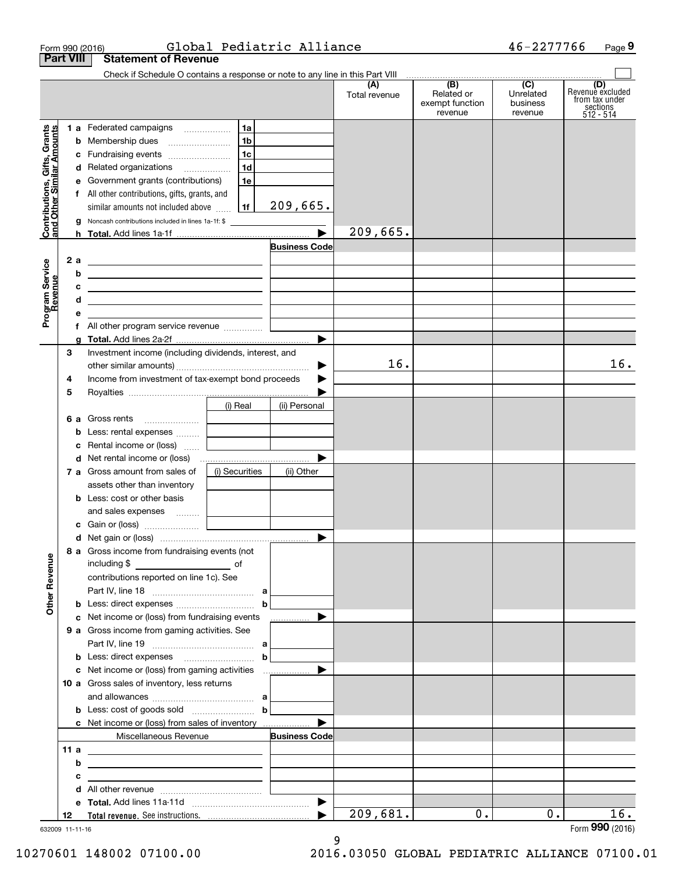| Form 990 (2016)                                           |     |                                                                                                                                                                                                                                      |                                             | Global Pediatric Alliance |                      |                                                                                      | 46-2277766            | Page 9                                    |
|-----------------------------------------------------------|-----|--------------------------------------------------------------------------------------------------------------------------------------------------------------------------------------------------------------------------------------|---------------------------------------------|---------------------------|----------------------|--------------------------------------------------------------------------------------|-----------------------|-------------------------------------------|
| <b>Part VIII</b>                                          |     | <b>Statement of Revenue</b>                                                                                                                                                                                                          |                                             |                           |                      |                                                                                      |                       |                                           |
|                                                           |     | Check if Schedule O contains a response or note to any line in this Part VIII                                                                                                                                                        |                                             |                           | (A)<br>Total revenue | $\overline{(\mathsf{B})}$ $\overline{(\mathsf{C})}$<br>Related or<br>exempt function | Unrelated<br>business | (D)<br>Revenue excluded<br>from tax under |
|                                                           |     |                                                                                                                                                                                                                                      |                                             |                           |                      | revenue                                                                              | revenue               | sections<br>512 - 514                     |
| Contributions, Gifts, Grants<br>and Other Similar Amounts |     | 1 a Federated campaigns                                                                                                                                                                                                              | 1a                                          |                           |                      |                                                                                      |                       |                                           |
|                                                           |     | <b>b</b> Membership dues                                                                                                                                                                                                             | 1 <sub>b</sub>                              |                           |                      |                                                                                      |                       |                                           |
|                                                           |     | c Fundraising events                                                                                                                                                                                                                 | 1c<br>1d                                    |                           |                      |                                                                                      |                       |                                           |
|                                                           |     | d Related organizations                                                                                                                                                                                                              |                                             |                           |                      |                                                                                      |                       |                                           |
|                                                           |     | e Government grants (contributions)                                                                                                                                                                                                  | 1e                                          |                           |                      |                                                                                      |                       |                                           |
|                                                           |     | f All other contributions, gifts, grants, and<br>similar amounts not included above                                                                                                                                                  | 1f                                          | 209,665.                  |                      |                                                                                      |                       |                                           |
|                                                           |     | Noncash contributions included in lines 1a-1f: \$                                                                                                                                                                                    |                                             |                           |                      |                                                                                      |                       |                                           |
|                                                           | g   |                                                                                                                                                                                                                                      |                                             |                           | 209,665.             |                                                                                      |                       |                                           |
|                                                           |     |                                                                                                                                                                                                                                      |                                             | <b>Business Code</b>      |                      |                                                                                      |                       |                                           |
|                                                           | 2 a | <u> 1989 - Johann Harry Harry Harry Harry Harry Harry Harry Harry Harry Harry Harry Harry Harry Harry Harry Harry</u>                                                                                                                |                                             |                           |                      |                                                                                      |                       |                                           |
|                                                           | b   | <u> 1989 - Johann John Stone, meil in der Stone in der Stone in der Stone in der Stone in der Stone in der Stone i</u>                                                                                                               |                                             |                           |                      |                                                                                      |                       |                                           |
|                                                           | c   | <u> Alexander and Alexander and Alexander and Alexander and Alexander and Alexander and Alexander and Alexander and Alexander and Alexander and Alexander and Alexander and Alexander and Alexander and Alexander and Alexander </u> |                                             |                           |                      |                                                                                      |                       |                                           |
|                                                           | d   | <u> 1989 - Johann John Stein, mars an de Frans and de Frans and de Frans and de Frans and de Frans and de Frans</u>                                                                                                                  |                                             |                           |                      |                                                                                      |                       |                                           |
| Program Service<br>Revenue                                | е   |                                                                                                                                                                                                                                      | <u> 1980 - Andrea Andrew Maria III, pre</u> |                           |                      |                                                                                      |                       |                                           |
|                                                           |     | f All other program service revenue                                                                                                                                                                                                  |                                             |                           |                      |                                                                                      |                       |                                           |
|                                                           | a   |                                                                                                                                                                                                                                      |                                             |                           |                      |                                                                                      |                       |                                           |
| З                                                         |     | Investment income (including dividends, interest, and                                                                                                                                                                                |                                             |                           |                      |                                                                                      |                       |                                           |
|                                                           |     |                                                                                                                                                                                                                                      |                                             |                           | 16.                  |                                                                                      |                       | 16.                                       |
| 4                                                         |     | Income from investment of tax-exempt bond proceeds                                                                                                                                                                                   |                                             |                           |                      |                                                                                      |                       |                                           |
| 5                                                         |     |                                                                                                                                                                                                                                      |                                             |                           |                      |                                                                                      |                       |                                           |
|                                                           |     |                                                                                                                                                                                                                                      | (i) Real                                    | (ii) Personal             |                      |                                                                                      |                       |                                           |
|                                                           |     | 6 a Gross rents                                                                                                                                                                                                                      | the control of the control of               |                           |                      |                                                                                      |                       |                                           |
|                                                           |     | <b>b</b> Less: rental expenses                                                                                                                                                                                                       |                                             |                           |                      |                                                                                      |                       |                                           |
|                                                           |     | c Rental income or (loss)                                                                                                                                                                                                            | and the control of the control of           |                           |                      |                                                                                      |                       |                                           |
|                                                           |     |                                                                                                                                                                                                                                      |                                             |                           |                      |                                                                                      |                       |                                           |
|                                                           |     | 7 a Gross amount from sales of                                                                                                                                                                                                       | (i) Securities                              | (ii) Other                |                      |                                                                                      |                       |                                           |
|                                                           |     | assets other than inventory                                                                                                                                                                                                          |                                             |                           |                      |                                                                                      |                       |                                           |
|                                                           |     | <b>b</b> Less: cost or other basis                                                                                                                                                                                                   |                                             |                           |                      |                                                                                      |                       |                                           |
|                                                           |     | and sales expenses    <b>Conserverse Serverse Serverse Serverse Serverse Serverse Serverse Serverse Serverse</b>                                                                                                                     |                                             |                           |                      |                                                                                      |                       |                                           |
|                                                           |     |                                                                                                                                                                                                                                      |                                             |                           |                      |                                                                                      |                       |                                           |
|                                                           |     |                                                                                                                                                                                                                                      |                                             |                           |                      |                                                                                      |                       |                                           |
|                                                           |     | 8 a Gross income from fundraising events (not                                                                                                                                                                                        |                                             |                           |                      |                                                                                      |                       |                                           |
|                                                           |     |                                                                                                                                                                                                                                      |                                             |                           |                      |                                                                                      |                       |                                           |
|                                                           |     | contributions reported on line 1c). See                                                                                                                                                                                              |                                             |                           |                      |                                                                                      |                       |                                           |
| <b>Other Revenue</b>                                      |     |                                                                                                                                                                                                                                      |                                             |                           |                      |                                                                                      |                       |                                           |
|                                                           |     | c Net income or (loss) from fundraising events                                                                                                                                                                                       |                                             | .                         |                      |                                                                                      |                       |                                           |
|                                                           |     | 9 a Gross income from gaming activities. See                                                                                                                                                                                         |                                             |                           |                      |                                                                                      |                       |                                           |
|                                                           |     |                                                                                                                                                                                                                                      |                                             |                           |                      |                                                                                      |                       |                                           |
|                                                           |     | <b>b</b> Less: direct expenses <b>contained b</b>                                                                                                                                                                                    |                                             |                           |                      |                                                                                      |                       |                                           |
|                                                           |     |                                                                                                                                                                                                                                      |                                             |                           |                      |                                                                                      |                       |                                           |
|                                                           |     | 10 a Gross sales of inventory, less returns                                                                                                                                                                                          |                                             |                           |                      |                                                                                      |                       |                                           |
|                                                           |     |                                                                                                                                                                                                                                      |                                             |                           |                      |                                                                                      |                       |                                           |
|                                                           |     | <b>b</b> Less: cost of goods sold $\ldots$ <b>b</b>                                                                                                                                                                                  |                                             |                           |                      |                                                                                      |                       |                                           |
|                                                           |     | <b>c</b> Net income or (loss) from sales of inventory                                                                                                                                                                                |                                             |                           |                      |                                                                                      |                       |                                           |
|                                                           |     | Miscellaneous Revenue                                                                                                                                                                                                                |                                             | <b>Business Code</b>      |                      |                                                                                      |                       |                                           |
| 11 a                                                      |     | <u> 1989 - Johann Barn, fransk politik (d. 1989)</u>                                                                                                                                                                                 |                                             |                           |                      |                                                                                      |                       |                                           |
|                                                           | b   | <u> 1989 - Johann Stein, fransk politik (d. 1989)</u>                                                                                                                                                                                |                                             |                           |                      |                                                                                      |                       |                                           |
|                                                           | c   | <u> 1989 - Johann Stein, mars et al. (b. 1989)</u>                                                                                                                                                                                   |                                             |                           |                      |                                                                                      |                       |                                           |
|                                                           |     |                                                                                                                                                                                                                                      |                                             |                           |                      |                                                                                      |                       |                                           |
|                                                           |     |                                                                                                                                                                                                                                      |                                             |                           |                      |                                                                                      |                       |                                           |
|                                                           | 12  |                                                                                                                                                                                                                                      |                                             |                           | 209,681.             | $0$ .                                                                                | 0.                    | $\overline{16}$ .                         |

9

632009 11-11-16

10270601 148002 07100.00 2016.03050 GLOBAL PEDIATRIC ALLIANCE 07100.01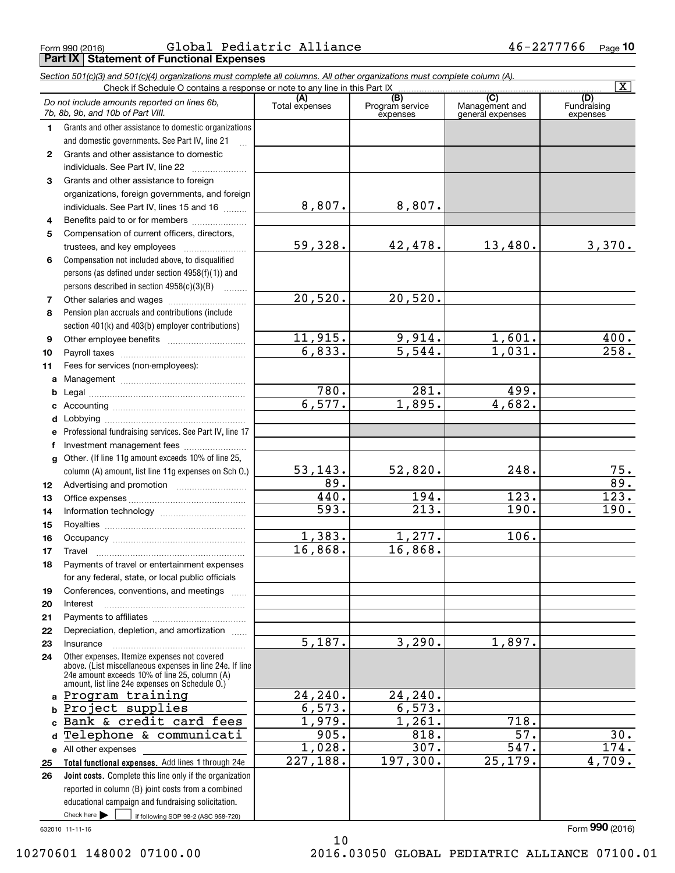Form 990 (2016) Global Pediatric Alliance 46-2277766 <sub>Page</sub> **Part IX Statement of Functional Expenses**

|              | Section 501(c)(3) and 501(c)(4) organizations must complete all columns. All other organizations must complete column (A).<br>Check if Schedule O contains a response or note to any line in this Part IX |                         |                             |                                    | $\overline{\mathbf{X}}$  |
|--------------|-----------------------------------------------------------------------------------------------------------------------------------------------------------------------------------------------------------|-------------------------|-----------------------------|------------------------------------|--------------------------|
|              | Do not include amounts reported on lines 6b,                                                                                                                                                              | (A)                     | (B)                         | $\overline{C}$                     | (D)                      |
|              | 7b, 8b, 9b, and 10b of Part VIII.                                                                                                                                                                         | Total expenses          | Program service<br>expenses | Management and<br>general expenses | Fundraising<br>expenses  |
| 1.           | Grants and other assistance to domestic organizations                                                                                                                                                     |                         |                             |                                    |                          |
|              | and domestic governments. See Part IV, line 21                                                                                                                                                            |                         |                             |                                    |                          |
| $\mathbf{2}$ | Grants and other assistance to domestic                                                                                                                                                                   |                         |                             |                                    |                          |
|              | individuals. See Part IV, line 22                                                                                                                                                                         |                         |                             |                                    |                          |
| 3            | Grants and other assistance to foreign                                                                                                                                                                    |                         |                             |                                    |                          |
|              | organizations, foreign governments, and foreign                                                                                                                                                           |                         |                             |                                    |                          |
|              | individuals. See Part IV, lines 15 and 16                                                                                                                                                                 | 8,807.                  | 8,807.                      |                                    |                          |
| 4            | Benefits paid to or for members                                                                                                                                                                           |                         |                             |                                    |                          |
| 5            | Compensation of current officers, directors,                                                                                                                                                              |                         |                             |                                    |                          |
|              | trustees, and key employees                                                                                                                                                                               | 59, 328.                | 42,478.                     | 13,480.                            | 3,370.                   |
| 6            | Compensation not included above, to disqualified                                                                                                                                                          |                         |                             |                                    |                          |
|              | persons (as defined under section 4958(f)(1)) and                                                                                                                                                         |                         |                             |                                    |                          |
|              | persons described in section 4958(c)(3)(B)<br>.                                                                                                                                                           |                         |                             |                                    |                          |
| 7            |                                                                                                                                                                                                           | 20,520.                 | 20,520.                     |                                    |                          |
| 8            | Pension plan accruals and contributions (include                                                                                                                                                          |                         |                             |                                    |                          |
|              | section 401(k) and 403(b) employer contributions)                                                                                                                                                         |                         |                             |                                    |                          |
| 9            |                                                                                                                                                                                                           | 11,915.                 | 9,914.                      | 1,601.                             | 400.                     |
| 10           |                                                                                                                                                                                                           | 6,833.                  | $\overline{5,544}$ .        | 1,031.                             | 258.                     |
| 11           | Fees for services (non-employees):                                                                                                                                                                        |                         |                             |                                    |                          |
| a            |                                                                                                                                                                                                           |                         |                             |                                    |                          |
| b            |                                                                                                                                                                                                           | 780.                    | 281.                        | 499.                               |                          |
| c            |                                                                                                                                                                                                           | 6,577.                  | 1,895.                      | 4,682.                             |                          |
| d            |                                                                                                                                                                                                           |                         |                             |                                    |                          |
| е            | Professional fundraising services. See Part IV, line 17                                                                                                                                                   |                         |                             |                                    |                          |
| f            | Investment management fees                                                                                                                                                                                |                         |                             |                                    |                          |
| $\mathbf{q}$ | Other. (If line 11g amount exceeds 10% of line 25,                                                                                                                                                        |                         |                             | 248.                               |                          |
|              | column (A) amount, list line 11g expenses on Sch O.)                                                                                                                                                      | 53, 143.<br>89.         | 52,820.                     |                                    | 75.<br>$\overline{89}$ . |
| 12           |                                                                                                                                                                                                           | 440.                    | 194.                        | 123.                               | 123.                     |
| 13           |                                                                                                                                                                                                           | 593.                    | 213.                        | 190.                               | 190.                     |
| 14           |                                                                                                                                                                                                           |                         |                             |                                    |                          |
| 15           |                                                                                                                                                                                                           | 1,383.                  | 1,277.                      | 106.                               |                          |
| 16           |                                                                                                                                                                                                           | 16,868.                 | 16,868.                     |                                    |                          |
| 17           | Payments of travel or entertainment expenses                                                                                                                                                              |                         |                             |                                    |                          |
| 18           | for any federal, state, or local public officials                                                                                                                                                         |                         |                             |                                    |                          |
| 19           | Conferences, conventions, and meetings                                                                                                                                                                    |                         |                             |                                    |                          |
| 20           | Interest                                                                                                                                                                                                  |                         |                             |                                    |                          |
| 21           |                                                                                                                                                                                                           |                         |                             |                                    |                          |
| 22           | Depreciation, depletion, and amortization                                                                                                                                                                 |                         |                             |                                    |                          |
| 23           | Insurance                                                                                                                                                                                                 | $\overline{5,187}$ .    | 3,290.                      | 1,897.                             |                          |
| 24           | Other expenses. Itemize expenses not covered                                                                                                                                                              |                         |                             |                                    |                          |
|              | above. (List miscellaneous expenses in line 24e. If line<br>24e amount exceeds 10% of line 25, column (A)<br>amount, list line 24e expenses on Schedule O.)                                               |                         |                             |                                    |                          |
|              | a Program training                                                                                                                                                                                        | 24, 240.                | 24,240.                     |                                    |                          |
| b            | Project supplies                                                                                                                                                                                          | 6,573.                  | 6,573.                      |                                    |                          |
| C.           | Bank & credit card fees                                                                                                                                                                                   | 1,979.                  | 1,261.                      | 718.                               |                          |
| d            | Telephone & communicati                                                                                                                                                                                   | 905.                    | 818.                        | 57.                                | 30.                      |
|              | e All other expenses                                                                                                                                                                                      | 1,028.                  | 307.                        | 547.                               | 174.                     |
| 25           | Total functional expenses. Add lines 1 through 24e                                                                                                                                                        | $\overline{227}$ , 188. | 197,300.                    | 25,179.                            | 4,709.                   |
| 26           | Joint costs. Complete this line only if the organization                                                                                                                                                  |                         |                             |                                    |                          |
|              | reported in column (B) joint costs from a combined                                                                                                                                                        |                         |                             |                                    |                          |
|              | educational campaign and fundraising solicitation.                                                                                                                                                        |                         |                             |                                    |                          |
|              | Check here $\blacktriangleright$<br>if following SOP 98-2 (ASC 958-720)                                                                                                                                   |                         |                             |                                    |                          |
|              | 632010 11-11-16                                                                                                                                                                                           |                         |                             |                                    | Form 990 (2016)          |

10

10270601 148002 07100.00 2016.03050 GLOBAL PEDIATRIC ALLIANCE 07100.01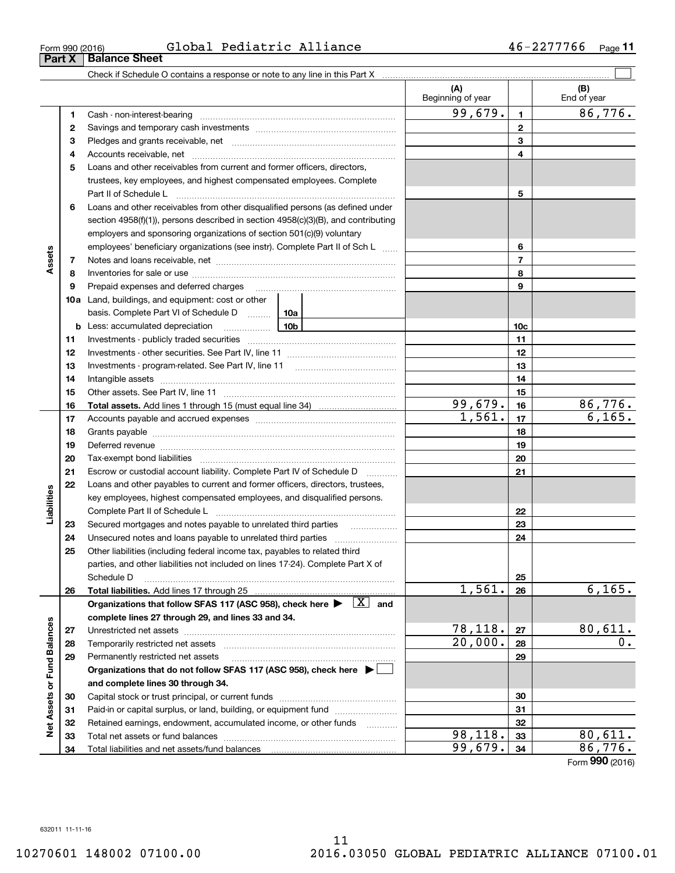**Part X Balance Sheet**

| Form 990 (2016) | Global Pediatric Alliance | 2277766<br>46–<br>Page |
|-----------------|---------------------------|------------------------|
|                 |                           |                        |

|                             |    |                                                                                                                                                                                                                                | (A)<br>Beginning of year |                | (B)<br>End of year |
|-----------------------------|----|--------------------------------------------------------------------------------------------------------------------------------------------------------------------------------------------------------------------------------|--------------------------|----------------|--------------------|
|                             | 1  |                                                                                                                                                                                                                                | 99,679.                  | $\mathbf{1}$   | 86,776.            |
|                             | 2  |                                                                                                                                                                                                                                |                          | $\mathbf{2}$   |                    |
|                             | 3  |                                                                                                                                                                                                                                |                          | 3              |                    |
|                             | 4  |                                                                                                                                                                                                                                |                          | 4              |                    |
|                             | 5  | Loans and other receivables from current and former officers, directors,                                                                                                                                                       |                          |                |                    |
|                             |    | trustees, key employees, and highest compensated employees. Complete                                                                                                                                                           |                          |                |                    |
|                             |    | Part II of Schedule Lawrence Management Contract Management Contract Management Contract Management Contract M                                                                                                                 |                          | 5              |                    |
|                             | 6  | Loans and other receivables from other disqualified persons (as defined under                                                                                                                                                  |                          |                |                    |
|                             |    | section 4958(f)(1)), persons described in section 4958(c)(3)(B), and contributing                                                                                                                                              |                          |                |                    |
|                             |    | employers and sponsoring organizations of section 501(c)(9) voluntary                                                                                                                                                          |                          |                |                    |
|                             |    | employees' beneficiary organizations (see instr). Complete Part II of Sch L                                                                                                                                                    |                          | 6              |                    |
| Assets                      | 7  |                                                                                                                                                                                                                                |                          | $\overline{7}$ |                    |
|                             | 8  |                                                                                                                                                                                                                                |                          | 8              |                    |
|                             | 9  | Prepaid expenses and deferred charges [11] [11] prepaid expenses and deferred charges [11] [11] minimum materials                                                                                                              |                          | 9              |                    |
|                             |    | <b>10a</b> Land, buildings, and equipment: cost or other                                                                                                                                                                       |                          |                |                    |
|                             |    | basis. Complete Part VI of Schedule D  10a                                                                                                                                                                                     |                          |                |                    |
|                             |    |                                                                                                                                                                                                                                |                          | 10c            |                    |
|                             | 11 |                                                                                                                                                                                                                                |                          | 11             |                    |
|                             | 12 |                                                                                                                                                                                                                                |                          | 12             |                    |
|                             | 13 |                                                                                                                                                                                                                                |                          | 13             |                    |
|                             | 14 |                                                                                                                                                                                                                                |                          | 14             |                    |
|                             | 15 |                                                                                                                                                                                                                                |                          | 15             |                    |
|                             | 16 |                                                                                                                                                                                                                                | 99,679.                  | 16             | 86,776.            |
|                             | 17 |                                                                                                                                                                                                                                | 1,561.                   | 17             | 6,165.             |
|                             | 18 |                                                                                                                                                                                                                                |                          | 18             |                    |
|                             | 19 | Deferred revenue manual contracts and contracts are all the contracts and contracts are contracted and contracts are contracted and contract are contracted and contract are contracted and contract are contracted and contra |                          | 19             |                    |
|                             | 20 |                                                                                                                                                                                                                                |                          | 20             |                    |
|                             | 21 | Escrow or custodial account liability. Complete Part IV of Schedule D                                                                                                                                                          |                          | 21             |                    |
|                             | 22 | Loans and other payables to current and former officers, directors, trustees,                                                                                                                                                  |                          |                |                    |
| Liabilities                 |    | key employees, highest compensated employees, and disqualified persons.                                                                                                                                                        |                          |                |                    |
|                             |    |                                                                                                                                                                                                                                |                          | 22             |                    |
|                             | 23 | Secured mortgages and notes payable to unrelated third parties                                                                                                                                                                 |                          | 23             |                    |
|                             | 24 | Unsecured notes and loans payable to unrelated third parties                                                                                                                                                                   |                          | 24             |                    |
|                             | 25 | Other liabilities (including federal income tax, payables to related third                                                                                                                                                     |                          |                |                    |
|                             |    | parties, and other liabilities not included on lines 17-24). Complete Part X of                                                                                                                                                |                          |                |                    |
|                             |    | Schedule D                                                                                                                                                                                                                     |                          | 25             |                    |
|                             | 26 | Total liabilities. Add lines 17 through 25                                                                                                                                                                                     | 1,561.                   | 26             | 6, 165.            |
|                             |    | Organizations that follow SFAS 117 (ASC 958), check here $\blacktriangleright \begin{array}{ c } \hline X & \text{and} \end{array}$                                                                                            |                          |                |                    |
|                             |    | complete lines 27 through 29, and lines 33 and 34.                                                                                                                                                                             |                          |                |                    |
|                             | 27 |                                                                                                                                                                                                                                | 78,118.                  | 27             | 80,611.            |
|                             | 28 |                                                                                                                                                                                                                                | 20,000.                  | 28             | 0.                 |
| Net Assets or Fund Balances | 29 | Permanently restricted net assets                                                                                                                                                                                              |                          | 29             |                    |
|                             |    | Organizations that do not follow SFAS 117 (ASC 958), check here ▶ □                                                                                                                                                            |                          |                |                    |
|                             |    | and complete lines 30 through 34.                                                                                                                                                                                              |                          |                |                    |
|                             | 30 |                                                                                                                                                                                                                                |                          | 30             |                    |
|                             | 31 | Paid-in or capital surplus, or land, building, or equipment fund                                                                                                                                                               |                          | 31             |                    |
|                             | 32 | Retained earnings, endowment, accumulated income, or other funds                                                                                                                                                               |                          | 32             |                    |
|                             | 33 |                                                                                                                                                                                                                                | 98,118.                  | 33             | 80,611.            |
|                             | 34 |                                                                                                                                                                                                                                | 99,679.                  | 34             | 86,776.            |

Form (2016) **990**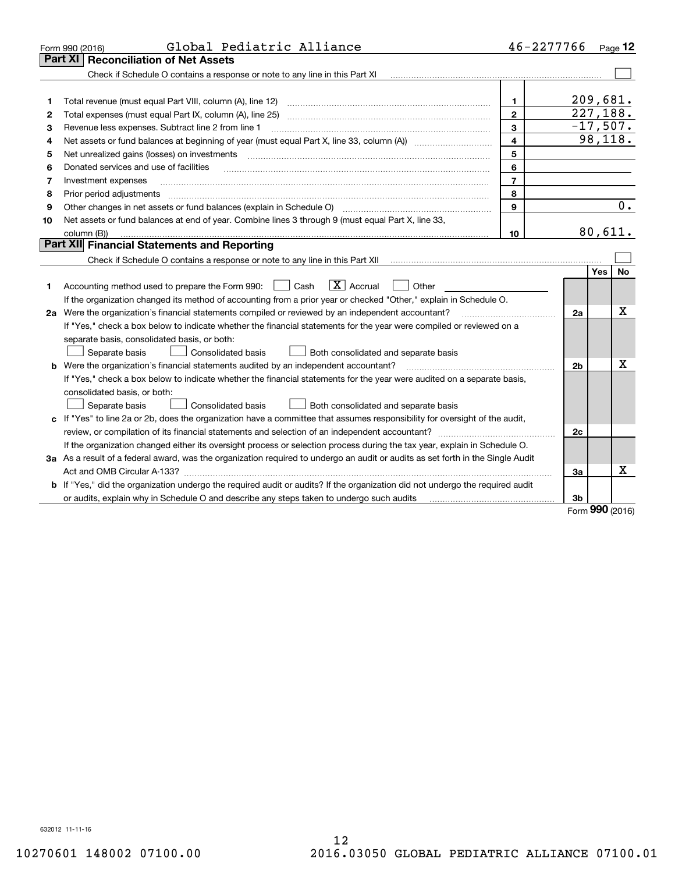|    | Global Pediatric Alliance<br>Form 990 (2016)                                                                                         | 46-2277766     |            |           | Page 12          |  |  |
|----|--------------------------------------------------------------------------------------------------------------------------------------|----------------|------------|-----------|------------------|--|--|
|    | <b>Part XI</b><br><b>Reconciliation of Net Assets</b>                                                                                |                |            |           |                  |  |  |
|    | Check if Schedule O contains a response or note to any line in this Part XI                                                          |                |            |           |                  |  |  |
|    |                                                                                                                                      |                |            |           |                  |  |  |
| 1  | Total revenue (must equal Part VIII, column (A), line 12)                                                                            | $\mathbf{1}$   | 209,681.   |           |                  |  |  |
| 2  | Total expenses (must equal Part IX, column (A), line 25) [11] manufactured expenses (must equal Part IX, column (A), line 25)        | $\mathbf{2}$   | 227,188.   |           |                  |  |  |
| З  | Revenue less expenses. Subtract line 2 from line 1                                                                                   | 3              | $-17,507.$ |           | 98, 118.         |  |  |
| 4  | $\overline{4}$                                                                                                                       |                |            |           |                  |  |  |
| 5  | Net unrealized gains (losses) on investments                                                                                         | 5              |            |           |                  |  |  |
| 6  | Donated services and use of facilities                                                                                               | 6              |            |           |                  |  |  |
| 7  | Investment expenses                                                                                                                  | $\overline{7}$ |            |           |                  |  |  |
| 8  | Prior period adjustments                                                                                                             | 8              |            |           |                  |  |  |
| 9  | Other changes in net assets or fund balances (explain in Schedule O)                                                                 | 9              |            |           | $\overline{0}$ . |  |  |
| 10 | Net assets or fund balances at end of year. Combine lines 3 through 9 (must equal Part X, line 33,                                   |                |            | 80,611.   |                  |  |  |
|    | column (B))<br>10                                                                                                                    |                |            |           |                  |  |  |
|    | Part XII Financial Statements and Reporting                                                                                          |                |            |           |                  |  |  |
|    |                                                                                                                                      |                |            |           |                  |  |  |
|    |                                                                                                                                      |                |            | Yes       | No               |  |  |
| 1  | $\boxed{\mathbf{X}}$ Accrual<br>Accounting method used to prepare the Form 990: <u>[</u> Cash<br>Other                               |                |            |           |                  |  |  |
|    | If the organization changed its method of accounting from a prior year or checked "Other," explain in Schedule O.                    |                |            |           |                  |  |  |
|    | 2a Were the organization's financial statements compiled or reviewed by an independent accountant?                                   |                | 2a         |           | х                |  |  |
|    | If "Yes," check a box below to indicate whether the financial statements for the year were compiled or reviewed on a                 |                |            |           |                  |  |  |
|    | separate basis, consolidated basis, or both:                                                                                         |                |            |           |                  |  |  |
|    | Separate basis<br>Consolidated basis<br>Both consolidated and separate basis                                                         |                |            |           |                  |  |  |
|    | <b>b</b> Were the organization's financial statements audited by an independent accountant?                                          |                | 2b         |           | x                |  |  |
|    | If "Yes," check a box below to indicate whether the financial statements for the year were audited on a separate basis,              |                |            |           |                  |  |  |
|    | consolidated basis, or both:                                                                                                         |                |            |           |                  |  |  |
|    | Separate basis<br><b>Consolidated basis</b><br>Both consolidated and separate basis                                                  |                |            |           |                  |  |  |
|    | c If "Yes" to line 2a or 2b, does the organization have a committee that assumes responsibility for oversight of the audit,          |                |            |           |                  |  |  |
|    |                                                                                                                                      |                | 2c         |           |                  |  |  |
|    | If the organization changed either its oversight process or selection process during the tax year, explain in Schedule O.            |                |            |           |                  |  |  |
|    | 3a As a result of a federal award, was the organization required to undergo an audit or audits as set forth in the Single Audit      |                |            |           |                  |  |  |
|    |                                                                                                                                      |                | 3a         |           | x                |  |  |
|    | <b>b</b> If "Yes," did the organization undergo the required audit or audits? If the organization did not undergo the required audit |                |            |           |                  |  |  |
|    | or audits, explain why in Schedule O and describe any steps taken to undergo such audits contain the manu-controller                 |                | 3b         | $000 - 1$ |                  |  |  |

Form (2016) **990**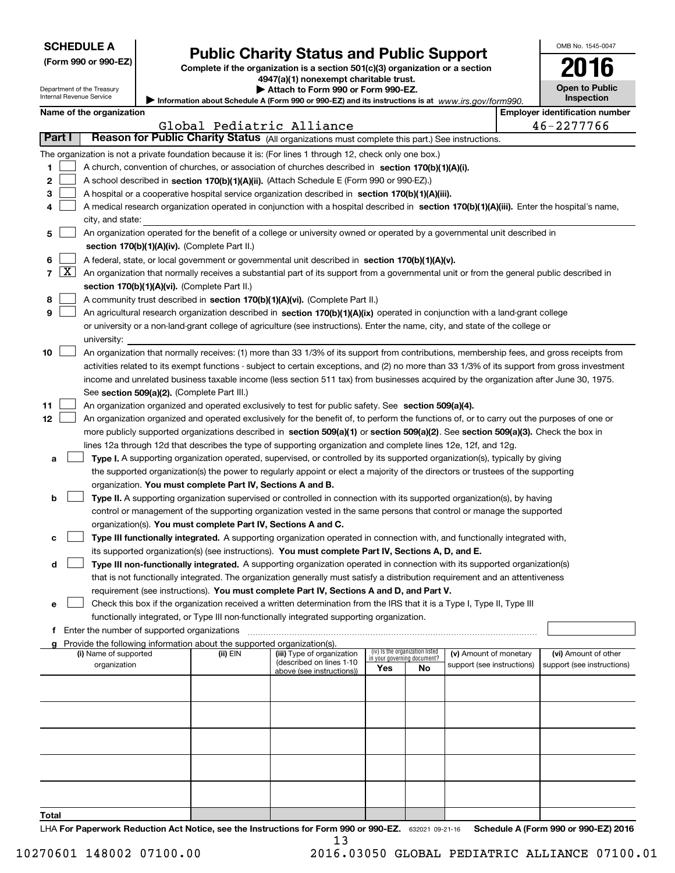| <b>SCHEDULE A</b> |
|-------------------|
|-------------------|

Department of the Treasury Internal Revenue Service

| (Form 990 or 990-EZ) |  |  |  |  |
|----------------------|--|--|--|--|
|----------------------|--|--|--|--|

## **Public Charity Status and Public Support**

**Complete if the organization is a section 501(c)(3) organization or a section 4947(a)(1) nonexempt charitable trust.**  $\blacktriangleright$  At

|  |  |  | ttach to Form 990 or Form 990-EZ. |  |
|--|--|--|-----------------------------------|--|
|  |  |  |                                   |  |

Information about Schedule A (Form 990 or 990-EZ) and its instructions is at *www.irs.gov/form990.* **Open to Public Inspection**

OMB No. 1545-0047

**2016**

|  | Name of the organization |
|--|--------------------------|
|  |                          |

|        | Name of the organization<br><b>Employer identification number</b>            |                                                                                                                                                     |          |                            |                                    |                                 |                            |  |                            |  |
|--------|------------------------------------------------------------------------------|-----------------------------------------------------------------------------------------------------------------------------------------------------|----------|----------------------------|------------------------------------|---------------------------------|----------------------------|--|----------------------------|--|
|        |                                                                              |                                                                                                                                                     |          | Global Pediatric Alliance  |                                    |                                 |                            |  | 46-2277766                 |  |
| Part I |                                                                              | Reason for Public Charity Status (All organizations must complete this part.) See instructions.                                                     |          |                            |                                    |                                 |                            |  |                            |  |
|        |                                                                              | The organization is not a private foundation because it is: (For lines 1 through 12, check only one box.)                                           |          |                            |                                    |                                 |                            |  |                            |  |
| 1      |                                                                              | A church, convention of churches, or association of churches described in section 170(b)(1)(A)(i).                                                  |          |                            |                                    |                                 |                            |  |                            |  |
| 2      |                                                                              | A school described in section 170(b)(1)(A)(ii). (Attach Schedule E (Form 990 or 990-EZ).)                                                           |          |                            |                                    |                                 |                            |  |                            |  |
| 3      |                                                                              | A hospital or a cooperative hospital service organization described in section 170(b)(1)(A)(iii).                                                   |          |                            |                                    |                                 |                            |  |                            |  |
| 4      |                                                                              | A medical research organization operated in conjunction with a hospital described in section 170(b)(1)(A)(iii). Enter the hospital's name,          |          |                            |                                    |                                 |                            |  |                            |  |
|        |                                                                              | city, and state:                                                                                                                                    |          |                            |                                    |                                 |                            |  |                            |  |
| 5      |                                                                              | An organization operated for the benefit of a college or university owned or operated by a governmental unit described in                           |          |                            |                                    |                                 |                            |  |                            |  |
|        |                                                                              | section 170(b)(1)(A)(iv). (Complete Part II.)                                                                                                       |          |                            |                                    |                                 |                            |  |                            |  |
| 6      |                                                                              | A federal, state, or local government or governmental unit described in section 170(b)(1)(A)(v).                                                    |          |                            |                                    |                                 |                            |  |                            |  |
| 7      | $\lfloor x \rfloor$                                                          | An organization that normally receives a substantial part of its support from a governmental unit or from the general public described in           |          |                            |                                    |                                 |                            |  |                            |  |
|        |                                                                              | section 170(b)(1)(A)(vi). (Complete Part II.)                                                                                                       |          |                            |                                    |                                 |                            |  |                            |  |
| 8      | A community trust described in section 170(b)(1)(A)(vi). (Complete Part II.) |                                                                                                                                                     |          |                            |                                    |                                 |                            |  |                            |  |
| 9      |                                                                              | An agricultural research organization described in section 170(b)(1)(A)(ix) operated in conjunction with a land-grant college                       |          |                            |                                    |                                 |                            |  |                            |  |
|        |                                                                              | or university or a non-land-grant college of agriculture (see instructions). Enter the name, city, and state of the college or                      |          |                            |                                    |                                 |                            |  |                            |  |
|        |                                                                              | university:                                                                                                                                         |          |                            |                                    |                                 |                            |  |                            |  |
| 10     |                                                                              | An organization that normally receives: (1) more than 33 1/3% of its support from contributions, membership fees, and gross receipts from           |          |                            |                                    |                                 |                            |  |                            |  |
|        |                                                                              | activities related to its exempt functions - subject to certain exceptions, and (2) no more than 33 1/3% of its support from gross investment       |          |                            |                                    |                                 |                            |  |                            |  |
|        |                                                                              | income and unrelated business taxable income (less section 511 tax) from businesses acquired by the organization after June 30, 1975.               |          |                            |                                    |                                 |                            |  |                            |  |
| 11     |                                                                              | See section 509(a)(2). (Complete Part III.)<br>An organization organized and operated exclusively to test for public safety. See section 509(a)(4). |          |                            |                                    |                                 |                            |  |                            |  |
| 12     |                                                                              | An organization organized and operated exclusively for the benefit of, to perform the functions of, or to carry out the purposes of one or          |          |                            |                                    |                                 |                            |  |                            |  |
|        |                                                                              | more publicly supported organizations described in section 509(a)(1) or section 509(a)(2). See section 509(a)(3). Check the box in                  |          |                            |                                    |                                 |                            |  |                            |  |
|        |                                                                              | lines 12a through 12d that describes the type of supporting organization and complete lines 12e, 12f, and 12g.                                      |          |                            |                                    |                                 |                            |  |                            |  |
| а      |                                                                              | Type I. A supporting organization operated, supervised, or controlled by its supported organization(s), typically by giving                         |          |                            |                                    |                                 |                            |  |                            |  |
|        |                                                                              | the supported organization(s) the power to regularly appoint or elect a majority of the directors or trustees of the supporting                     |          |                            |                                    |                                 |                            |  |                            |  |
|        |                                                                              | organization. You must complete Part IV, Sections A and B.                                                                                          |          |                            |                                    |                                 |                            |  |                            |  |
| b      |                                                                              | Type II. A supporting organization supervised or controlled in connection with its supported organization(s), by having                             |          |                            |                                    |                                 |                            |  |                            |  |
|        |                                                                              | control or management of the supporting organization vested in the same persons that control or manage the supported                                |          |                            |                                    |                                 |                            |  |                            |  |
|        |                                                                              | organization(s). You must complete Part IV, Sections A and C.                                                                                       |          |                            |                                    |                                 |                            |  |                            |  |
| c      |                                                                              | Type III functionally integrated. A supporting organization operated in connection with, and functionally integrated with,                          |          |                            |                                    |                                 |                            |  |                            |  |
|        |                                                                              | its supported organization(s) (see instructions). You must complete Part IV, Sections A, D, and E.                                                  |          |                            |                                    |                                 |                            |  |                            |  |
| d      |                                                                              | Type III non-functionally integrated. A supporting organization operated in connection with its supported organization(s)                           |          |                            |                                    |                                 |                            |  |                            |  |
|        |                                                                              | that is not functionally integrated. The organization generally must satisfy a distribution requirement and an attentiveness                        |          |                            |                                    |                                 |                            |  |                            |  |
|        |                                                                              | requirement (see instructions). You must complete Part IV, Sections A and D, and Part V.                                                            |          |                            |                                    |                                 |                            |  |                            |  |
| е      |                                                                              | Check this box if the organization received a written determination from the IRS that it is a Type I, Type II, Type III                             |          |                            |                                    |                                 |                            |  |                            |  |
|        |                                                                              | functionally integrated, or Type III non-functionally integrated supporting organization.                                                           |          |                            |                                    |                                 |                            |  |                            |  |
|        |                                                                              | f Enter the number of supported organizations                                                                                                       |          |                            |                                    |                                 |                            |  |                            |  |
|        |                                                                              | g Provide the following information about the supported organization(s).<br>(i) Name of supported                                                   | (ii) EIN | (iii) Type of organization |                                    | (iv) Is the organization listed | (v) Amount of monetary     |  | (vi) Amount of other       |  |
|        |                                                                              | organization                                                                                                                                        |          | (described on lines 1-10   | in your governing document?<br>Yes | No                              | support (see instructions) |  | support (see instructions) |  |
|        |                                                                              |                                                                                                                                                     |          | above (see instructions))  |                                    |                                 |                            |  |                            |  |
|        |                                                                              |                                                                                                                                                     |          |                            |                                    |                                 |                            |  |                            |  |
|        |                                                                              |                                                                                                                                                     |          |                            |                                    |                                 |                            |  |                            |  |
|        |                                                                              |                                                                                                                                                     |          |                            |                                    |                                 |                            |  |                            |  |
|        |                                                                              |                                                                                                                                                     |          |                            |                                    |                                 |                            |  |                            |  |
|        |                                                                              |                                                                                                                                                     |          |                            |                                    |                                 |                            |  |                            |  |
|        |                                                                              |                                                                                                                                                     |          |                            |                                    |                                 |                            |  |                            |  |
|        |                                                                              |                                                                                                                                                     |          |                            |                                    |                                 |                            |  |                            |  |
|        |                                                                              |                                                                                                                                                     |          |                            |                                    |                                 |                            |  |                            |  |
|        |                                                                              |                                                                                                                                                     |          |                            |                                    |                                 |                            |  |                            |  |
| Total  |                                                                              |                                                                                                                                                     |          |                            |                                    |                                 |                            |  |                            |  |

LHA For Paperwork Reduction Act Notice, see the Instructions for Form 990 or 990-EZ. 632021 09-21-16 Schedule A (Form 990 or 990-EZ) 2016 13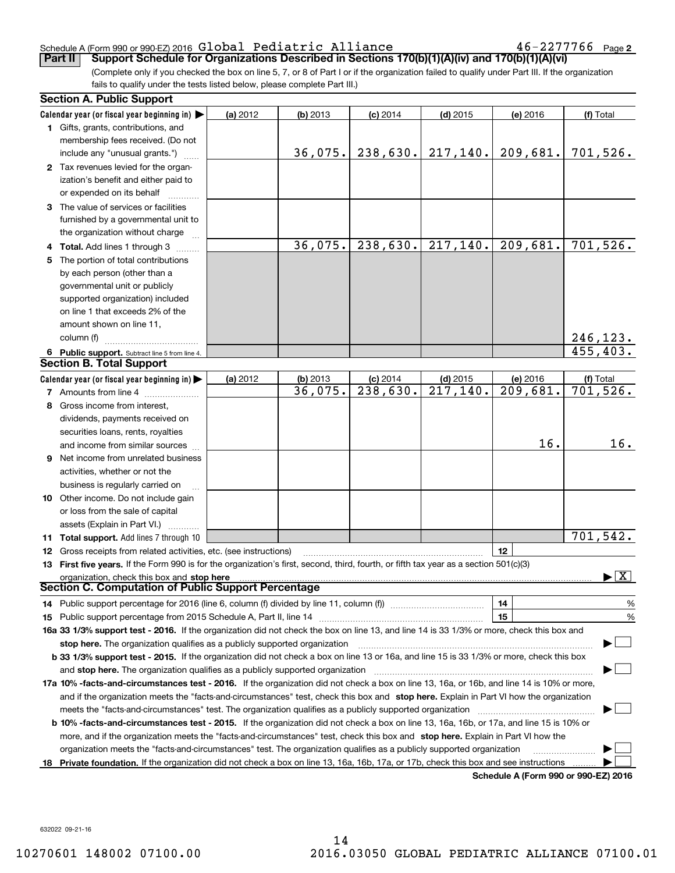#### Schedule A (Form 990 or 990-EZ) 2016 Page Global Pediatric Alliance 46-2277766

 $46 - 2277766$  Page 2

(Complete only if you checked the box on line 5, 7, or 8 of Part I or if the organization failed to qualify under Part III. If the organization fails to qualify under the tests listed below, please complete Part III.) **Part II Support Schedule for Organizations Described in Sections 170(b)(1)(A)(iv) and 170(b)(1)(A)(vi)**

|    | <b>Section A. Public Support</b>                                                                                                               |          |            |                        |                        |                                      |                                          |
|----|------------------------------------------------------------------------------------------------------------------------------------------------|----------|------------|------------------------|------------------------|--------------------------------------|------------------------------------------|
|    | Calendar year (or fiscal year beginning in) $\blacktriangleright$                                                                              | (a) 2012 | (b) 2013   | $(c)$ 2014             | $(d)$ 2015             | (e) 2016                             | (f) Total                                |
|    | <b>1</b> Gifts, grants, contributions, and                                                                                                     |          |            |                        |                        |                                      |                                          |
|    | membership fees received. (Do not                                                                                                              |          |            |                        |                        |                                      |                                          |
|    | include any "unusual grants.")                                                                                                                 |          | 36,075.    | 238,630.               | 217, 140.              | 209,681.                             | 701,526.                                 |
|    | 2 Tax revenues levied for the organ-                                                                                                           |          |            |                        |                        |                                      |                                          |
|    | ization's benefit and either paid to                                                                                                           |          |            |                        |                        |                                      |                                          |
|    | or expended on its behalf                                                                                                                      |          |            |                        |                        |                                      |                                          |
|    | 3 The value of services or facilities                                                                                                          |          |            |                        |                        |                                      |                                          |
|    | furnished by a governmental unit to                                                                                                            |          |            |                        |                        |                                      |                                          |
|    | the organization without charge                                                                                                                |          |            |                        |                        |                                      |                                          |
|    | 4 Total. Add lines 1 through 3                                                                                                                 |          | 36,075.    | 238,630.               | $\overline{217,140}$ . | $\overline{209,681}$ .               | $\overline{701}$ , 526.                  |
|    | 5 The portion of total contributions                                                                                                           |          |            |                        |                        |                                      |                                          |
|    | by each person (other than a                                                                                                                   |          |            |                        |                        |                                      |                                          |
|    | governmental unit or publicly                                                                                                                  |          |            |                        |                        |                                      |                                          |
|    | supported organization) included                                                                                                               |          |            |                        |                        |                                      |                                          |
|    | on line 1 that exceeds 2% of the                                                                                                               |          |            |                        |                        |                                      |                                          |
|    | amount shown on line 11,                                                                                                                       |          |            |                        |                        |                                      |                                          |
|    | column (f)                                                                                                                                     |          |            |                        |                        |                                      | 246,123.                                 |
|    | 6 Public support. Subtract line 5 from line 4.                                                                                                 |          |            |                        |                        |                                      | 455,403.                                 |
|    | <b>Section B. Total Support</b>                                                                                                                |          |            |                        |                        |                                      |                                          |
|    | Calendar year (or fiscal year beginning in)                                                                                                    | (a) 2012 | $(b)$ 2013 | $(c)$ 2014             | $(d)$ 2015             | (e) 2016                             | (f) Total                                |
|    | 7 Amounts from line 4                                                                                                                          |          | 36,075.    | $\overline{238,630}$ . | $\overline{217,140}$ . | 209,681.                             | $\overline{701,}526.$                    |
|    | 8 Gross income from interest,                                                                                                                  |          |            |                        |                        |                                      |                                          |
|    | dividends, payments received on                                                                                                                |          |            |                        |                        |                                      |                                          |
|    | securities loans, rents, royalties                                                                                                             |          |            |                        |                        |                                      |                                          |
|    | and income from similar sources                                                                                                                |          |            |                        |                        | 16.                                  | 16.                                      |
|    | 9 Net income from unrelated business                                                                                                           |          |            |                        |                        |                                      |                                          |
|    | activities, whether or not the                                                                                                                 |          |            |                        |                        |                                      |                                          |
|    | business is regularly carried on                                                                                                               |          |            |                        |                        |                                      |                                          |
|    | <b>10</b> Other income. Do not include gain                                                                                                    |          |            |                        |                        |                                      |                                          |
|    | or loss from the sale of capital                                                                                                               |          |            |                        |                        |                                      |                                          |
|    | assets (Explain in Part VI.)                                                                                                                   |          |            |                        |                        |                                      |                                          |
|    | <b>11 Total support.</b> Add lines 7 through 10                                                                                                |          |            |                        |                        |                                      | 701,542.                                 |
|    | <b>12</b> Gross receipts from related activities, etc. (see instructions)                                                                      |          |            |                        |                        | 12                                   |                                          |
|    | 13 First five years. If the Form 990 is for the organization's first, second, third, fourth, or fifth tax year as a section 501(c)(3)          |          |            |                        |                        |                                      |                                          |
|    | organization, check this box and stop here                                                                                                     |          |            |                        |                        |                                      | $\blacktriangleright$ $\boxed{\text{X}}$ |
|    | Section C. Computation of Public Support Percentage                                                                                            |          |            |                        |                        |                                      |                                          |
|    | 14 Public support percentage for 2016 (line 6, column (f) divided by line 11, column (f) <i>manumeronoming</i>                                 |          |            |                        |                        | 14                                   | %                                        |
|    |                                                                                                                                                |          |            |                        |                        | 15                                   | $\%$                                     |
|    | 16a 33 1/3% support test - 2016. If the organization did not check the box on line 13, and line 14 is 33 1/3% or more, check this box and      |          |            |                        |                        |                                      |                                          |
|    | stop here. The organization qualifies as a publicly supported organization                                                                     |          |            |                        |                        |                                      |                                          |
|    | b 33 1/3% support test - 2015. If the organization did not check a box on line 13 or 16a, and line 15 is 33 1/3% or more, check this box       |          |            |                        |                        |                                      |                                          |
|    | and stop here. The organization qualifies as a publicly supported organization                                                                 |          |            |                        |                        |                                      |                                          |
|    | 17a 10% -facts-and-circumstances test - 2016. If the organization did not check a box on line 13, 16a, or 16b, and line 14 is 10% or more,     |          |            |                        |                        |                                      |                                          |
|    | and if the organization meets the "facts-and-circumstances" test, check this box and stop here. Explain in Part VI how the organization        |          |            |                        |                        |                                      |                                          |
|    | meets the "facts-and-circumstances" test. The organization qualifies as a publicly supported organization <i>marroummumumum</i>                |          |            |                        |                        |                                      |                                          |
|    | <b>b 10% -facts-and-circumstances test - 2015.</b> If the organization did not check a box on line 13, 16a, 16b, or 17a, and line 15 is 10% or |          |            |                        |                        |                                      |                                          |
|    | more, and if the organization meets the "facts-and-circumstances" test, check this box and stop here. Explain in Part VI how the               |          |            |                        |                        |                                      |                                          |
|    | organization meets the "facts-and-circumstances" test. The organization qualifies as a publicly supported organization                         |          |            |                        |                        |                                      |                                          |
| 18 | Private foundation. If the organization did not check a box on line 13, 16a, 16b, 17a, or 17b, check this box and see instructions             |          |            |                        |                        |                                      |                                          |
|    |                                                                                                                                                |          |            |                        |                        | Schodule A (Form 000 or 000 F7) 2016 |                                          |

**Schedule A (Form 990 or 990-EZ) 2016**

632022 09-21-16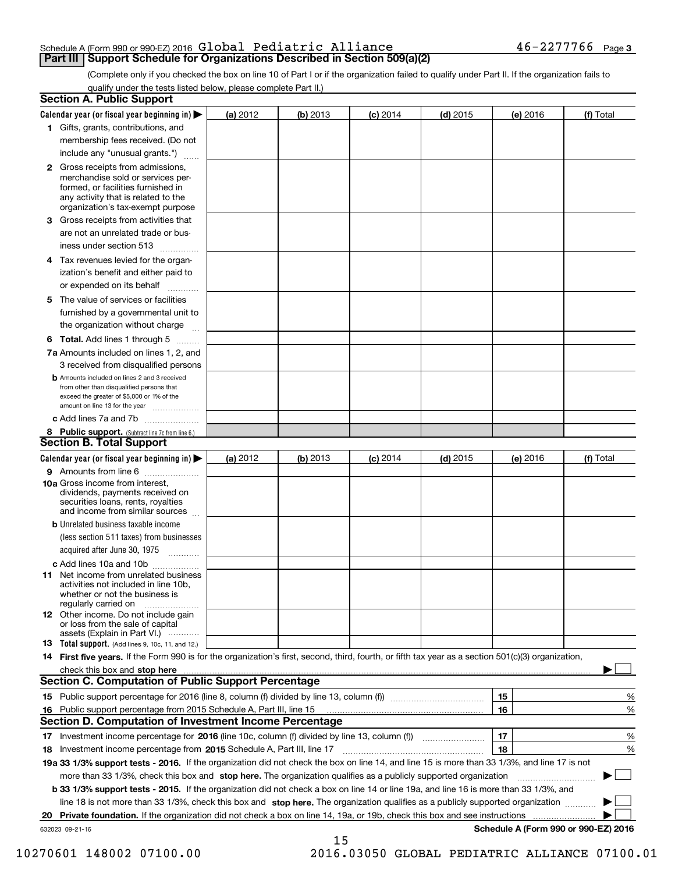## Schedule A (Form 990 or 990-EZ) 2016 Page Global Pediatric Alliance 46-2277766

(Complete only if you checked the box on line 10 of Part I or if the organization failed to qualify under Part II. If the organization fails to qualify under the tests listed below, please complete Part II.)

|    | <b>Section A. Public Support</b>                                                                                                                                                                                                     |          |          |                 |            |          |                                      |
|----|--------------------------------------------------------------------------------------------------------------------------------------------------------------------------------------------------------------------------------------|----------|----------|-----------------|------------|----------|--------------------------------------|
|    | Calendar year (or fiscal year beginning in) $\blacktriangleright$                                                                                                                                                                    | (a) 2012 | (b) 2013 | <b>(c)</b> 2014 | $(d)$ 2015 | (e) 2016 | (f) Total                            |
|    | 1 Gifts, grants, contributions, and                                                                                                                                                                                                  |          |          |                 |            |          |                                      |
|    | membership fees received. (Do not                                                                                                                                                                                                    |          |          |                 |            |          |                                      |
|    | include any "unusual grants.")                                                                                                                                                                                                       |          |          |                 |            |          |                                      |
|    | <b>2</b> Gross receipts from admissions,<br>merchandise sold or services per-<br>formed, or facilities furnished in<br>any activity that is related to the<br>organization's tax-exempt purpose                                      |          |          |                 |            |          |                                      |
|    | 3 Gross receipts from activities that                                                                                                                                                                                                |          |          |                 |            |          |                                      |
|    | are not an unrelated trade or bus-                                                                                                                                                                                                   |          |          |                 |            |          |                                      |
|    | iness under section 513                                                                                                                                                                                                              |          |          |                 |            |          |                                      |
|    | 4 Tax revenues levied for the organ-                                                                                                                                                                                                 |          |          |                 |            |          |                                      |
|    | ization's benefit and either paid to<br>or expended on its behalf<br>.                                                                                                                                                               |          |          |                 |            |          |                                      |
|    | 5 The value of services or facilities                                                                                                                                                                                                |          |          |                 |            |          |                                      |
|    | furnished by a governmental unit to                                                                                                                                                                                                  |          |          |                 |            |          |                                      |
|    | the organization without charge                                                                                                                                                                                                      |          |          |                 |            |          |                                      |
|    | <b>6 Total.</b> Add lines 1 through 5                                                                                                                                                                                                |          |          |                 |            |          |                                      |
|    | 7a Amounts included on lines 1, 2, and                                                                                                                                                                                               |          |          |                 |            |          |                                      |
|    | 3 received from disqualified persons                                                                                                                                                                                                 |          |          |                 |            |          |                                      |
|    | <b>b</b> Amounts included on lines 2 and 3 received<br>from other than disqualified persons that<br>exceed the greater of \$5,000 or 1% of the<br>amount on line 13 for the year                                                     |          |          |                 |            |          |                                      |
|    | c Add lines 7a and 7b                                                                                                                                                                                                                |          |          |                 |            |          |                                      |
|    | 8 Public support. (Subtract line 7c from line 6.)                                                                                                                                                                                    |          |          |                 |            |          |                                      |
|    | <b>Section B. Total Support</b>                                                                                                                                                                                                      |          |          |                 |            |          |                                      |
|    | Calendar year (or fiscal year beginning in)                                                                                                                                                                                          | (a) 2012 | (b) 2013 | <b>(c)</b> 2014 | $(d)$ 2015 | (e) 2016 | (f) Total                            |
|    | 9 Amounts from line 6                                                                                                                                                                                                                |          |          |                 |            |          |                                      |
|    | <b>10a</b> Gross income from interest,<br>dividends, payments received on<br>securities loans, rents, royalties<br>and income from similar sources                                                                                   |          |          |                 |            |          |                                      |
|    | <b>b</b> Unrelated business taxable income                                                                                                                                                                                           |          |          |                 |            |          |                                      |
|    | (less section 511 taxes) from businesses                                                                                                                                                                                             |          |          |                 |            |          |                                      |
|    | acquired after June 30, 1975                                                                                                                                                                                                         |          |          |                 |            |          |                                      |
|    | c Add lines 10a and 10b                                                                                                                                                                                                              |          |          |                 |            |          |                                      |
|    | 11 Net income from unrelated business<br>activities not included in line 10b,<br>whether or not the business is<br>regularly carried on                                                                                              |          |          |                 |            |          |                                      |
|    | 12 Other income. Do not include gain<br>or loss from the sale of capital<br>assets (Explain in Part VI.)                                                                                                                             |          |          |                 |            |          |                                      |
|    | 13 Total support. (Add lines 9, 10c, 11, and 12.)                                                                                                                                                                                    |          |          |                 |            |          |                                      |
|    | 14 First five years. If the Form 990 is for the organization's first, second, third, fourth, or fifth tax year as a section 501(c)(3) organization,                                                                                  |          |          |                 |            |          |                                      |
|    | check this box and stop here <i>manual construction of the state of the state of the state of the state of the state of the state of the state of the state of the state of the state of the state of the state of the state of </i> |          |          |                 |            |          |                                      |
|    | <b>Section C. Computation of Public Support Percentage</b>                                                                                                                                                                           |          |          |                 |            |          |                                      |
|    |                                                                                                                                                                                                                                      |          |          |                 |            | 15       | %                                    |
|    | 16 Public support percentage from 2015 Schedule A, Part III, line 15                                                                                                                                                                 |          |          |                 |            | 16       | %                                    |
|    | <b>Section D. Computation of Investment Income Percentage</b>                                                                                                                                                                        |          |          |                 |            |          |                                      |
| 17 | Investment income percentage for 2016 (line 10c, column (f) divided by line 13, column (f)                                                                                                                                           |          |          |                 |            | 17       | $\%$                                 |
| 18 | Investment income percentage from 2015 Schedule A, Part III, line 17                                                                                                                                                                 |          |          |                 |            | 18       | %                                    |
|    | 19a 33 1/3% support tests - 2016. If the organization did not check the box on line 14, and line 15 is more than 33 1/3%, and line 17 is not                                                                                         |          |          |                 |            |          |                                      |
|    | more than 33 1/3%, check this box and stop here. The organization qualifies as a publicly supported organization                                                                                                                     |          |          |                 |            |          | ▶                                    |
|    | b 33 1/3% support tests - 2015. If the organization did not check a box on line 14 or line 19a, and line 16 is more than 33 1/3%, and                                                                                                |          |          |                 |            |          |                                      |
|    | line 18 is not more than 33 1/3%, check this box and stop here. The organization qualifies as a publicly supported organization                                                                                                      |          |          |                 |            |          |                                      |
| 20 | Private foundation. If the organization did not check a box on line 14, 19a, or 19b, check this box and see instructions                                                                                                             |          |          |                 |            |          | .                                    |
|    | 632023 09-21-16                                                                                                                                                                                                                      |          |          |                 |            |          | Schedule A (Form 990 or 990-EZ) 2016 |
|    |                                                                                                                                                                                                                                      |          | 15       |                 |            |          |                                      |

10270601 148002 07100.00 2016.03050 GLOBAL PEDIATRIC ALLIANCE 07100.01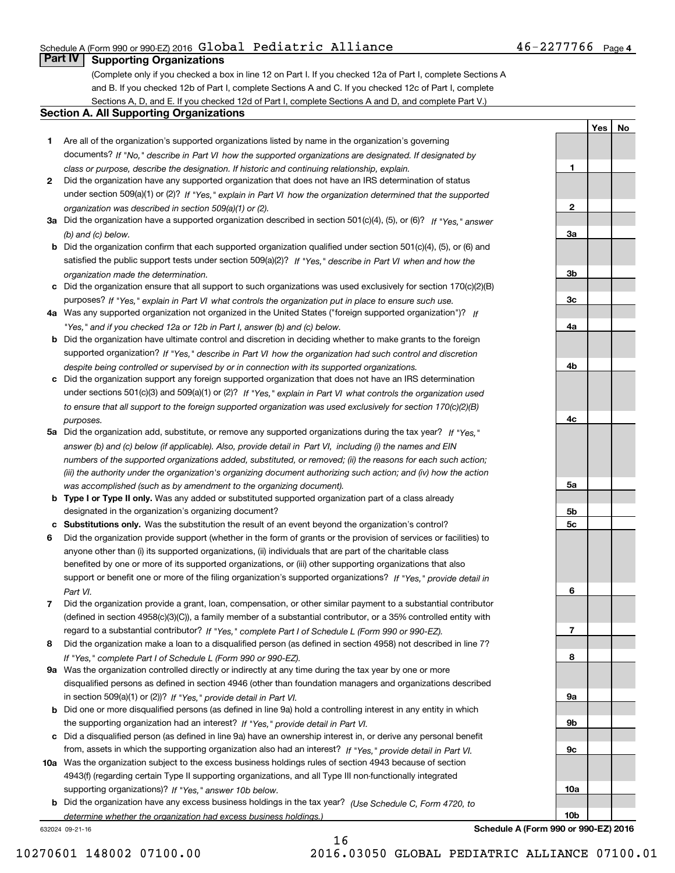#### Schedule A (Form 990 or 990-EZ) 2016 Page Global Pediatric Alliance 46-2277766

### **Part IV Supporting Organizations**

(Complete only if you checked a box in line 12 on Part I. If you checked 12a of Part I, complete Sections A and B. If you checked 12b of Part I, complete Sections A and C. If you checked 12c of Part I, complete Sections A, D, and E. If you checked 12d of Part I, complete Sections A and D, and complete Part V.)

#### **Section A. All Supporting Organizations**

- **1** Are all of the organization's supported organizations listed by name in the organization's governing documents? If "No," describe in Part VI how the supported organizations are designated. If designated by *class or purpose, describe the designation. If historic and continuing relationship, explain.*
- **2** Did the organization have any supported organization that does not have an IRS determination of status under section 509(a)(1) or (2)? If "Yes," explain in Part VI how the organization determined that the supported *organization was described in section 509(a)(1) or (2).*
- **3a** Did the organization have a supported organization described in section 501(c)(4), (5), or (6)? If "Yes," answer *(b) and (c) below.*
- **b** Did the organization confirm that each supported organization qualified under section 501(c)(4), (5), or (6) and satisfied the public support tests under section 509(a)(2)? If "Yes," describe in Part VI when and how the *organization made the determination.*
- **c**Did the organization ensure that all support to such organizations was used exclusively for section 170(c)(2)(B) purposes? If "Yes," explain in Part VI what controls the organization put in place to ensure such use.
- **4a***If* Was any supported organization not organized in the United States ("foreign supported organization")? *"Yes," and if you checked 12a or 12b in Part I, answer (b) and (c) below.*
- **b** Did the organization have ultimate control and discretion in deciding whether to make grants to the foreign supported organization? If "Yes," describe in Part VI how the organization had such control and discretion *despite being controlled or supervised by or in connection with its supported organizations.*
- **c** Did the organization support any foreign supported organization that does not have an IRS determination under sections 501(c)(3) and 509(a)(1) or (2)? If "Yes," explain in Part VI what controls the organization used *to ensure that all support to the foreign supported organization was used exclusively for section 170(c)(2)(B) purposes.*
- **5a** Did the organization add, substitute, or remove any supported organizations during the tax year? If "Yes," answer (b) and (c) below (if applicable). Also, provide detail in Part VI, including (i) the names and EIN *numbers of the supported organizations added, substituted, or removed; (ii) the reasons for each such action; (iii) the authority under the organization's organizing document authorizing such action; and (iv) how the action was accomplished (such as by amendment to the organizing document).*
- **b** Type I or Type II only. Was any added or substituted supported organization part of a class already designated in the organization's organizing document?
- **cSubstitutions only.**  Was the substitution the result of an event beyond the organization's control?
- **6** Did the organization provide support (whether in the form of grants or the provision of services or facilities) to *If "Yes," provide detail in* support or benefit one or more of the filing organization's supported organizations? anyone other than (i) its supported organizations, (ii) individuals that are part of the charitable class benefited by one or more of its supported organizations, or (iii) other supporting organizations that also *Part VI.*
- **7**Did the organization provide a grant, loan, compensation, or other similar payment to a substantial contributor *If "Yes," complete Part I of Schedule L (Form 990 or 990-EZ).* regard to a substantial contributor? (defined in section 4958(c)(3)(C)), a family member of a substantial contributor, or a 35% controlled entity with
- **8** Did the organization make a loan to a disqualified person (as defined in section 4958) not described in line 7? *If "Yes," complete Part I of Schedule L (Form 990 or 990-EZ).*
- **9a** Was the organization controlled directly or indirectly at any time during the tax year by one or more in section 509(a)(1) or (2))? If "Yes," *provide detail in Part VI.* disqualified persons as defined in section 4946 (other than foundation managers and organizations described
- **b** Did one or more disqualified persons (as defined in line 9a) hold a controlling interest in any entity in which the supporting organization had an interest? If "Yes," provide detail in Part VI.
- **c**Did a disqualified person (as defined in line 9a) have an ownership interest in, or derive any personal benefit from, assets in which the supporting organization also had an interest? If "Yes," provide detail in Part VI.
- **10a** Was the organization subject to the excess business holdings rules of section 4943 because of section supporting organizations)? If "Yes," answer 10b below. 4943(f) (regarding certain Type II supporting organizations, and all Type III non-functionally integrated
- **b** Did the organization have any excess business holdings in the tax year? (Use Schedule C, Form 4720, to *determine whether the organization had excess business holdings.)*

16

632024 09-21-16

**123a3b3c4a4b4c5a 5b5c6789a 9b9c**

**10a**

**Schedule A (Form 990 or 990-EZ) 2016**

**YesNo**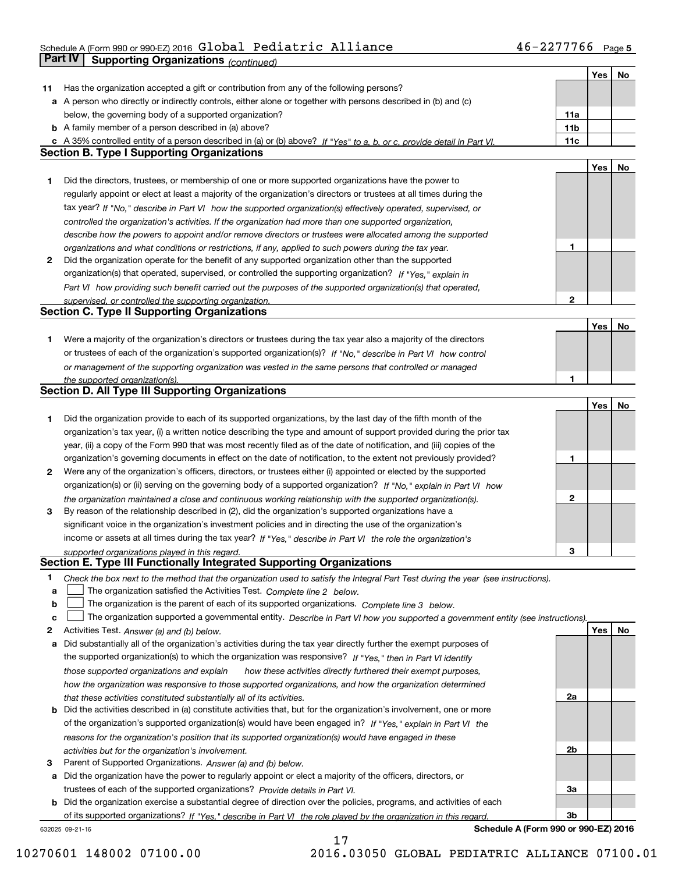### Schedule A (Form 990 or 990-EZ) 2016 Page Global Pediatric Alliance 46-2277766 **Part IV Supporting Organizations** *(continued)*

|    |                                                                                                                                   |     | Yes        | No |
|----|-----------------------------------------------------------------------------------------------------------------------------------|-----|------------|----|
| 11 | Has the organization accepted a gift or contribution from any of the following persons?                                           |     |            |    |
|    | a A person who directly or indirectly controls, either alone or together with persons described in (b) and (c)                    |     |            |    |
|    | below, the governing body of a supported organization?                                                                            | 11a |            |    |
|    | <b>b</b> A family member of a person described in (a) above?                                                                      | 11b |            |    |
|    | c A 35% controlled entity of a person described in (a) or (b) above? If "Yes" to a, b, or c, provide detail in Part VI.           | 11c |            |    |
|    | <b>Section B. Type I Supporting Organizations</b>                                                                                 |     |            |    |
|    |                                                                                                                                   |     | Yes        | No |
| 1  | Did the directors, trustees, or membership of one or more supported organizations have the power to                               |     |            |    |
|    | regularly appoint or elect at least a majority of the organization's directors or trustees at all times during the                |     |            |    |
|    | tax year? If "No," describe in Part VI how the supported organization(s) effectively operated, supervised, or                     |     |            |    |
|    | controlled the organization's activities. If the organization had more than one supported organization,                           |     |            |    |
|    | describe how the powers to appoint and/or remove directors or trustees were allocated among the supported                         |     |            |    |
|    | organizations and what conditions or restrictions, if any, applied to such powers during the tax year.                            | 1   |            |    |
| 2  | Did the organization operate for the benefit of any supported organization other than the supported                               |     |            |    |
|    | organization(s) that operated, supervised, or controlled the supporting organization? If "Yes," explain in                        |     |            |    |
|    | Part VI how providing such benefit carried out the purposes of the supported organization(s) that operated,                       |     |            |    |
|    | supervised, or controlled the supporting organization.                                                                            | 2   |            |    |
|    | <b>Section C. Type II Supporting Organizations</b>                                                                                |     |            |    |
|    |                                                                                                                                   |     | Yes        | No |
| 1  | Were a majority of the organization's directors or trustees during the tax year also a majority of the directors                  |     |            |    |
|    | or trustees of each of the organization's supported organization(s)? If "No," describe in Part VI how control                     |     |            |    |
|    | or management of the supporting organization was vested in the same persons that controlled or managed                            |     |            |    |
|    | the supported organization(s).                                                                                                    | 1   |            |    |
|    | Section D. All Type III Supporting Organizations                                                                                  |     |            |    |
|    |                                                                                                                                   |     | Yes        | No |
| 1  | Did the organization provide to each of its supported organizations, by the last day of the fifth month of the                    |     |            |    |
|    | organization's tax year, (i) a written notice describing the type and amount of support provided during the prior tax             |     |            |    |
|    | year, (ii) a copy of the Form 990 that was most recently filed as of the date of notification, and (iii) copies of the            |     |            |    |
|    | organization's governing documents in effect on the date of notification, to the extent not previously provided?                  | 1   |            |    |
| 2  | Were any of the organization's officers, directors, or trustees either (i) appointed or elected by the supported                  |     |            |    |
|    | organization(s) or (ii) serving on the governing body of a supported organization? If "No," explain in Part VI how                |     |            |    |
|    | the organization maintained a close and continuous working relationship with the supported organization(s).                       | 2   |            |    |
| 3  | By reason of the relationship described in (2), did the organization's supported organizations have a                             |     |            |    |
|    | significant voice in the organization's investment policies and in directing the use of the organization's                        |     |            |    |
|    | income or assets at all times during the tax year? If "Yes," describe in Part VI the role the organization's                      |     |            |    |
|    | supported organizations played in this regard.                                                                                    | 3   |            |    |
|    | Section E. Type III Functionally Integrated Supporting Organizations                                                              |     |            |    |
| 1  | Check the box next to the method that the organization used to satisfy the Integral Part Test during the year (see instructions). |     |            |    |
| a  | The organization satisfied the Activities Test. Complete line 2 below.                                                            |     |            |    |
| b  | The organization is the parent of each of its supported organizations. Complete line 3 below.                                     |     |            |    |
| c  | The organization supported a governmental entity. Describe in Part VI how you supported a government entity (see instructions).   |     |            |    |
| 2  | Activities Test. Answer (a) and (b) below.                                                                                        |     | <b>Yes</b> | No |
| а  | Did substantially all of the organization's activities during the tax year directly further the exempt purposes of                |     |            |    |
|    | the supported organization(s) to which the organization was responsive? If "Yes," then in Part VI identify                        |     |            |    |
|    | those supported organizations and explain<br>how these activities directly furthered their exempt purposes,                       |     |            |    |
|    | how the organization was responsive to those supported organizations, and how the organization determined                         |     |            |    |
|    | that these activities constituted substantially all of its activities.                                                            | 2a  |            |    |
|    | <b>b</b> Did the activities described in (a) constitute activities that, but for the organization's involvement, one or more      |     |            |    |
|    | of the organization's supported organization(s) would have been engaged in? If "Yes," explain in Part VI the                      |     |            |    |
|    | reasons for the organization's position that its supported organization(s) would have engaged in these                            |     |            |    |
|    | activities but for the organization's involvement.                                                                                | 2b  |            |    |
| з  | Parent of Supported Organizations. Answer (a) and (b) below.                                                                      |     |            |    |
| a  | Did the organization have the power to regularly appoint or elect a majority of the officers, directors, or                       |     |            |    |
|    | trustees of each of the supported organizations? Provide details in Part VI.                                                      | За  |            |    |
|    | <b>b</b> Did the organization exercise a substantial degree of direction over the policies, programs, and activities of each      |     |            |    |
|    | of its supported organizations? If "Yes." describe in Part VI the role played by the organization in this regard.                 | 3b  |            |    |
|    | Schedule A (Form 990 or 990-EZ) 2016<br>632025 09-21-16                                                                           |     |            |    |

17

10270601 148002 07100.00 2016.03050 GLOBAL PEDIATRIC ALLIANCE 07100.01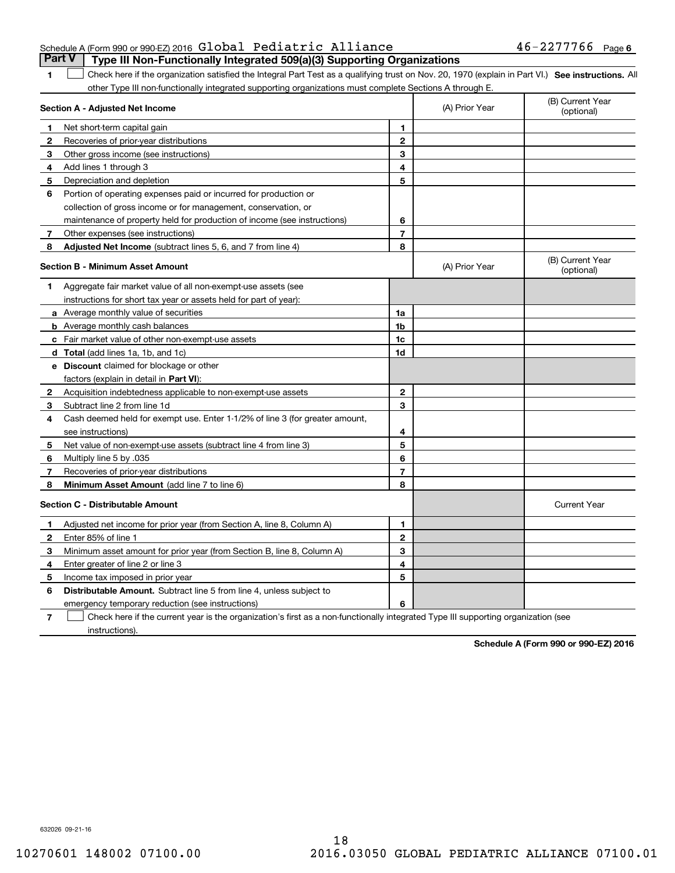|  | Schedule A (Form 990 or 990-EZ) 2016 Global Pediatric Alliance |  |                                                                                       | $46 - 2277766$ Page 6 |  |
|--|----------------------------------------------------------------|--|---------------------------------------------------------------------------------------|-----------------------|--|
|  |                                                                |  | <b>Part V</b> Type III Non-Functionally Integrated 509(a)(3) Supporting Organizations |                       |  |

1 Check here if the organization satisfied the Integral Part Test as a qualifying trust on Nov. 20, 1970 (explain in Part VI.) See instructions. All other Type III non-functionally integrated supporting organizations must complete Sections A through E.

|              | Section A - Adjusted Net Income                                              | (A) Prior Year | (B) Current Year<br>(optional) |                                |
|--------------|------------------------------------------------------------------------------|----------------|--------------------------------|--------------------------------|
| 1.           | Net short-term capital gain                                                  | 1              |                                |                                |
| $\mathbf{2}$ | Recoveries of prior-year distributions                                       | $\overline{2}$ |                                |                                |
| 3            | Other gross income (see instructions)                                        | 3              |                                |                                |
| 4            | Add lines 1 through 3                                                        | 4              |                                |                                |
| 5            | Depreciation and depletion                                                   | 5              |                                |                                |
| 6            | Portion of operating expenses paid or incurred for production or             |                |                                |                                |
|              | collection of gross income or for management, conservation, or               |                |                                |                                |
|              | maintenance of property held for production of income (see instructions)     | 6              |                                |                                |
| 7            | Other expenses (see instructions)                                            | $\overline{7}$ |                                |                                |
| 8            | <b>Adjusted Net Income</b> (subtract lines 5, 6, and 7 from line 4)          | 8              |                                |                                |
|              | <b>Section B - Minimum Asset Amount</b>                                      |                | (A) Prior Year                 | (B) Current Year<br>(optional) |
| 1.           | Aggregate fair market value of all non-exempt-use assets (see                |                |                                |                                |
|              | instructions for short tax year or assets held for part of year):            |                |                                |                                |
|              | a Average monthly value of securities                                        | 1a             |                                |                                |
|              | <b>b</b> Average monthly cash balances                                       | 1 <sub>b</sub> |                                |                                |
|              | c Fair market value of other non-exempt-use assets                           | 1c             |                                |                                |
|              | d Total (add lines 1a, 1b, and 1c)                                           | 1d             |                                |                                |
|              | <b>e</b> Discount claimed for blockage or other                              |                |                                |                                |
|              | factors (explain in detail in Part VI):                                      |                |                                |                                |
| 2            | Acquisition indebtedness applicable to non-exempt-use assets                 | $\mathbf{2}$   |                                |                                |
| 3            | Subtract line 2 from line 1d                                                 | 3              |                                |                                |
| 4            | Cash deemed held for exempt use. Enter 1-1/2% of line 3 (for greater amount, |                |                                |                                |
|              | see instructions)                                                            | 4              |                                |                                |
| 5.           | Net value of non-exempt-use assets (subtract line 4 from line 3)             | 5              |                                |                                |
| 6            | Multiply line 5 by .035                                                      | 6              |                                |                                |
| 7            | Recoveries of prior-year distributions                                       | $\overline{7}$ |                                |                                |
| 8            | Minimum Asset Amount (add line 7 to line 6)                                  | 8              |                                |                                |
|              | <b>Section C - Distributable Amount</b>                                      |                |                                | <b>Current Year</b>            |
| 1            | Adjusted net income for prior year (from Section A, line 8, Column A)        | 1              |                                |                                |
| $\mathbf{2}$ | Enter 85% of line 1                                                          | $\overline{2}$ |                                |                                |
| 3            | Minimum asset amount for prior year (from Section B, line 8, Column A)       | 3              |                                |                                |
| 4            | Enter greater of line 2 or line 3                                            | 4              |                                |                                |
| 5.           | Income tax imposed in prior year                                             | 5              |                                |                                |
| 6            | <b>Distributable Amount.</b> Subtract line 5 from line 4, unless subject to  |                |                                |                                |
|              | emergency temporary reduction (see instructions)                             | 6              |                                |                                |
|              |                                                                              |                |                                |                                |

**7**Check here if the current year is the organization's first as a non-functionally integrated Type III supporting organization (see instructions).

**Schedule A (Form 990 or 990-EZ) 2016**

632026 09-21-16

**1**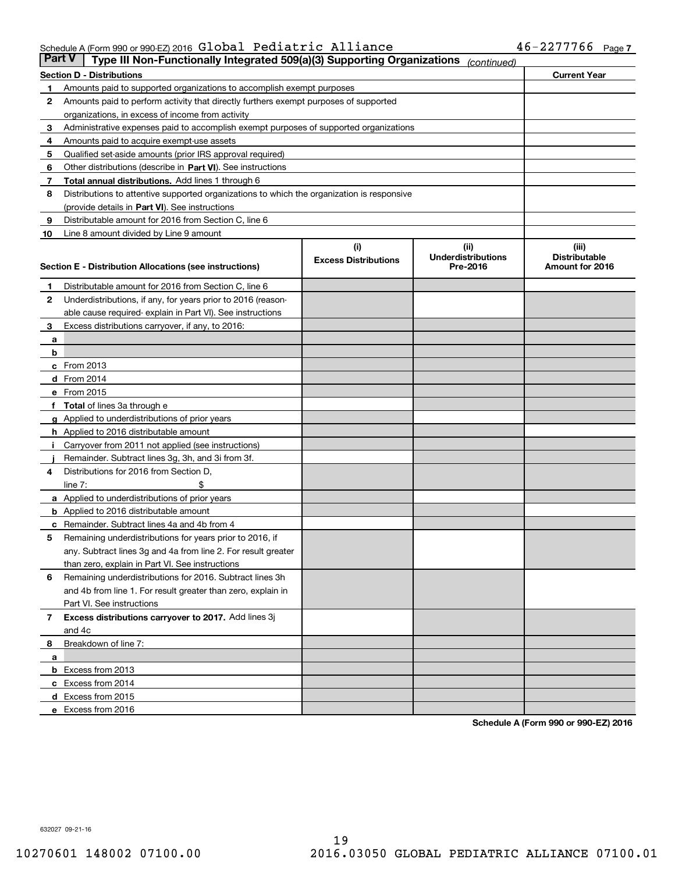#### Schedule A (Form 990 or 990-EZ) 2016 GIODAI Pediatric Alliance 46-2277766 Page Global Pediatric Alliance 46-2277766

| <b>Part V</b> | Type III Non-Functionally Integrated 509(a)(3) Supporting Organizations                    |                                    | (continued)                                    |                                                  |
|---------------|--------------------------------------------------------------------------------------------|------------------------------------|------------------------------------------------|--------------------------------------------------|
|               | <b>Section D - Distributions</b>                                                           |                                    |                                                | <b>Current Year</b>                              |
| 1             | Amounts paid to supported organizations to accomplish exempt purposes                      |                                    |                                                |                                                  |
| 2             | Amounts paid to perform activity that directly furthers exempt purposes of supported       |                                    |                                                |                                                  |
|               | organizations, in excess of income from activity                                           |                                    |                                                |                                                  |
| з             | Administrative expenses paid to accomplish exempt purposes of supported organizations      |                                    |                                                |                                                  |
| 4             | Amounts paid to acquire exempt-use assets                                                  |                                    |                                                |                                                  |
| 5             | Qualified set-aside amounts (prior IRS approval required)                                  |                                    |                                                |                                                  |
| 6             | Other distributions (describe in Part VI). See instructions                                |                                    |                                                |                                                  |
| 7             | <b>Total annual distributions.</b> Add lines 1 through 6                                   |                                    |                                                |                                                  |
| 8             | Distributions to attentive supported organizations to which the organization is responsive |                                    |                                                |                                                  |
|               | (provide details in Part VI). See instructions                                             |                                    |                                                |                                                  |
| 9             | Distributable amount for 2016 from Section C, line 6                                       |                                    |                                                |                                                  |
| 10            | Line 8 amount divided by Line 9 amount                                                     |                                    |                                                |                                                  |
|               | <b>Section E - Distribution Allocations (see instructions)</b>                             | (i)<br><b>Excess Distributions</b> | (iii)<br><b>Underdistributions</b><br>Pre-2016 | (iii)<br><b>Distributable</b><br>Amount for 2016 |
| 1             | Distributable amount for 2016 from Section C, line 6                                       |                                    |                                                |                                                  |
| 2             | Underdistributions, if any, for years prior to 2016 (reason-                               |                                    |                                                |                                                  |
|               | able cause required-explain in Part VI). See instructions                                  |                                    |                                                |                                                  |
| 3             | Excess distributions carryover, if any, to 2016:                                           |                                    |                                                |                                                  |
| а             |                                                                                            |                                    |                                                |                                                  |
| b             |                                                                                            |                                    |                                                |                                                  |
|               | c From 2013                                                                                |                                    |                                                |                                                  |
|               | d From 2014                                                                                |                                    |                                                |                                                  |
|               | e From 2015                                                                                |                                    |                                                |                                                  |
|               | Total of lines 3a through e                                                                |                                    |                                                |                                                  |
|               | <b>g</b> Applied to underdistributions of prior years                                      |                                    |                                                |                                                  |
|               | <b>h</b> Applied to 2016 distributable amount                                              |                                    |                                                |                                                  |
|               | Carryover from 2011 not applied (see instructions)                                         |                                    |                                                |                                                  |
|               | Remainder. Subtract lines 3g, 3h, and 3i from 3f.                                          |                                    |                                                |                                                  |
| 4             | Distributions for 2016 from Section D,                                                     |                                    |                                                |                                                  |
|               | line $7:$                                                                                  |                                    |                                                |                                                  |
|               | <b>a</b> Applied to underdistributions of prior years                                      |                                    |                                                |                                                  |
|               | <b>b</b> Applied to 2016 distributable amount                                              |                                    |                                                |                                                  |
| с             | Remainder. Subtract lines 4a and 4b from 4                                                 |                                    |                                                |                                                  |
| 5             | Remaining underdistributions for years prior to 2016, if                                   |                                    |                                                |                                                  |
|               | any. Subtract lines 3g and 4a from line 2. For result greater                              |                                    |                                                |                                                  |
|               | than zero, explain in Part VI. See instructions                                            |                                    |                                                |                                                  |
| 6             | Remaining underdistributions for 2016. Subtract lines 3h                                   |                                    |                                                |                                                  |
|               | and 4b from line 1. For result greater than zero, explain in                               |                                    |                                                |                                                  |
|               | Part VI. See instructions                                                                  |                                    |                                                |                                                  |
| 7             | Excess distributions carryover to 2017. Add lines 3j                                       |                                    |                                                |                                                  |
|               | and 4c                                                                                     |                                    |                                                |                                                  |
| 8             | Breakdown of line 7:                                                                       |                                    |                                                |                                                  |
| а             | b Excess from 2013                                                                         |                                    |                                                |                                                  |
|               | c Excess from 2014                                                                         |                                    |                                                |                                                  |
|               | d Excess from 2015                                                                         |                                    |                                                |                                                  |
|               | e Excess from 2016                                                                         |                                    |                                                |                                                  |
|               |                                                                                            |                                    |                                                |                                                  |

**Schedule A (Form 990 or 990-EZ) 2016**

632027 09-21-16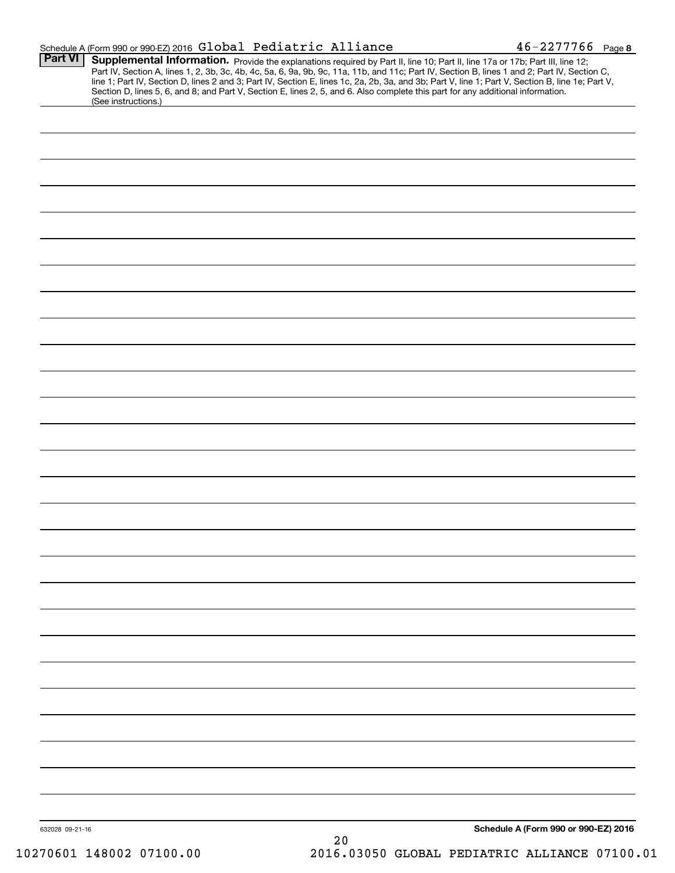|                 | Schedule A (Form 990 or 990-EZ) 2016 Global Pediatric Alliance                                                                                                                                                                                                                                                                                                                                                                                                                                                                                                                              | $46 - 2277766$ Page 8                |
|-----------------|---------------------------------------------------------------------------------------------------------------------------------------------------------------------------------------------------------------------------------------------------------------------------------------------------------------------------------------------------------------------------------------------------------------------------------------------------------------------------------------------------------------------------------------------------------------------------------------------|--------------------------------------|
| <b>Part VI</b>  | Supplemental Information. Provide the explanations required by Part II, line 10; Part II, line 17a or 17b; Part III, line 12;<br>Part IV, Section A, lines 1, 2, 3b, 3c, 4b, 4c, 5a, 6, 9a, 9b, 9c, 11a, 11b, and 11c; Part IV, Section B, lines 1 and 2; Part IV, Section C,<br>line 1; Part IV, Section D, lines 2 and 3; Part IV, Section E, lines 1c, 2a, 2b, 3a, and 3b; Part V, line 1; Part V, Section B, line 1e; Part V,<br>Section D, lines 5, 6, and 8; and Part V, Section E, lines 2, 5, and 6. Also complete this part for any additional information.<br>(See instructions.) |                                      |
|                 |                                                                                                                                                                                                                                                                                                                                                                                                                                                                                                                                                                                             |                                      |
|                 |                                                                                                                                                                                                                                                                                                                                                                                                                                                                                                                                                                                             |                                      |
|                 |                                                                                                                                                                                                                                                                                                                                                                                                                                                                                                                                                                                             |                                      |
|                 |                                                                                                                                                                                                                                                                                                                                                                                                                                                                                                                                                                                             |                                      |
|                 |                                                                                                                                                                                                                                                                                                                                                                                                                                                                                                                                                                                             |                                      |
|                 |                                                                                                                                                                                                                                                                                                                                                                                                                                                                                                                                                                                             |                                      |
|                 |                                                                                                                                                                                                                                                                                                                                                                                                                                                                                                                                                                                             |                                      |
|                 |                                                                                                                                                                                                                                                                                                                                                                                                                                                                                                                                                                                             |                                      |
|                 |                                                                                                                                                                                                                                                                                                                                                                                                                                                                                                                                                                                             |                                      |
|                 |                                                                                                                                                                                                                                                                                                                                                                                                                                                                                                                                                                                             |                                      |
|                 |                                                                                                                                                                                                                                                                                                                                                                                                                                                                                                                                                                                             |                                      |
|                 |                                                                                                                                                                                                                                                                                                                                                                                                                                                                                                                                                                                             |                                      |
|                 |                                                                                                                                                                                                                                                                                                                                                                                                                                                                                                                                                                                             |                                      |
|                 |                                                                                                                                                                                                                                                                                                                                                                                                                                                                                                                                                                                             |                                      |
|                 |                                                                                                                                                                                                                                                                                                                                                                                                                                                                                                                                                                                             |                                      |
|                 |                                                                                                                                                                                                                                                                                                                                                                                                                                                                                                                                                                                             |                                      |
|                 |                                                                                                                                                                                                                                                                                                                                                                                                                                                                                                                                                                                             |                                      |
|                 |                                                                                                                                                                                                                                                                                                                                                                                                                                                                                                                                                                                             |                                      |
|                 |                                                                                                                                                                                                                                                                                                                                                                                                                                                                                                                                                                                             |                                      |
|                 |                                                                                                                                                                                                                                                                                                                                                                                                                                                                                                                                                                                             |                                      |
|                 |                                                                                                                                                                                                                                                                                                                                                                                                                                                                                                                                                                                             |                                      |
|                 |                                                                                                                                                                                                                                                                                                                                                                                                                                                                                                                                                                                             |                                      |
|                 |                                                                                                                                                                                                                                                                                                                                                                                                                                                                                                                                                                                             |                                      |
|                 |                                                                                                                                                                                                                                                                                                                                                                                                                                                                                                                                                                                             |                                      |
|                 |                                                                                                                                                                                                                                                                                                                                                                                                                                                                                                                                                                                             |                                      |
|                 |                                                                                                                                                                                                                                                                                                                                                                                                                                                                                                                                                                                             |                                      |
|                 |                                                                                                                                                                                                                                                                                                                                                                                                                                                                                                                                                                                             |                                      |
|                 |                                                                                                                                                                                                                                                                                                                                                                                                                                                                                                                                                                                             |                                      |
|                 |                                                                                                                                                                                                                                                                                                                                                                                                                                                                                                                                                                                             |                                      |
|                 |                                                                                                                                                                                                                                                                                                                                                                                                                                                                                                                                                                                             |                                      |
| 632028 09-21-16 |                                                                                                                                                                                                                                                                                                                                                                                                                                                                                                                                                                                             | Schedule A (Form 990 or 990-EZ) 2016 |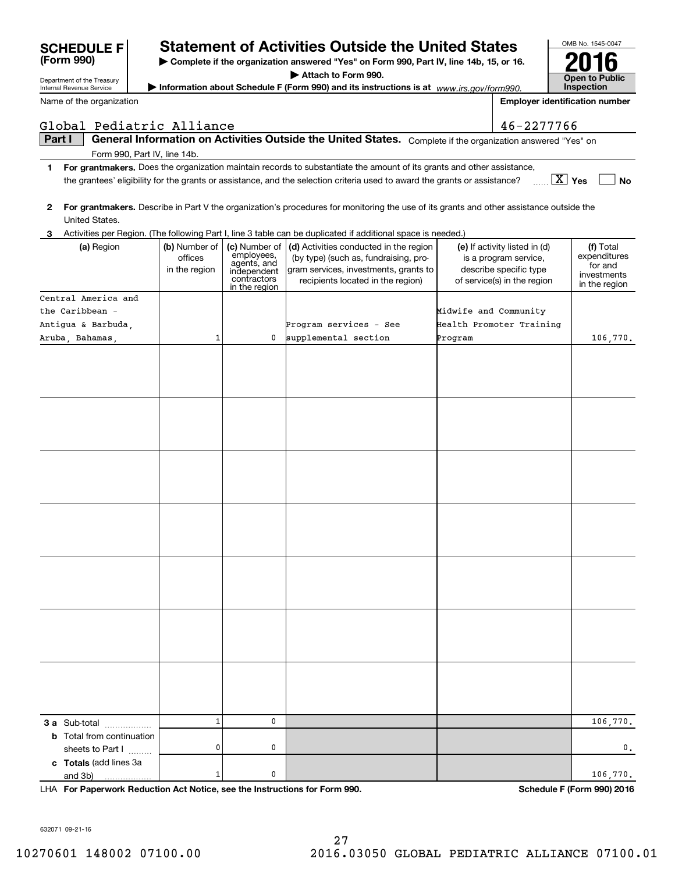|              | Name of the organization                   |                                           |                                                                                           |                                                                                                                                                               |                       | <b>Employer identification number</b>                                                                           |                                                                      |
|--------------|--------------------------------------------|-------------------------------------------|-------------------------------------------------------------------------------------------|---------------------------------------------------------------------------------------------------------------------------------------------------------------|-----------------------|-----------------------------------------------------------------------------------------------------------------|----------------------------------------------------------------------|
|              | Global Pediatric Alliance                  |                                           |                                                                                           |                                                                                                                                                               |                       | 46-2277766                                                                                                      |                                                                      |
|              | Part I                                     |                                           |                                                                                           | General Information on Activities Outside the United States. Complete if the organization answered "Yes" on                                                   |                       |                                                                                                                 |                                                                      |
|              | Form 990, Part IV, line 14b.               |                                           |                                                                                           |                                                                                                                                                               |                       |                                                                                                                 |                                                                      |
| 1.           |                                            |                                           |                                                                                           | For grantmakers. Does the organization maintain records to substantiate the amount of its grants and other assistance,                                        |                       |                                                                                                                 |                                                                      |
|              |                                            |                                           |                                                                                           | the grantees' eligibility for the grants or assistance, and the selection criteria used to award the grants or assistance?                                    |                       |                                                                                                                 | $\boxed{\text{X}}$ Yes<br>No                                         |
| $\mathbf{2}$ |                                            |                                           |                                                                                           | For grantmakers. Describe in Part V the organization's procedures for monitoring the use of its grants and other assistance outside the                       |                       |                                                                                                                 |                                                                      |
|              | United States.                             |                                           |                                                                                           |                                                                                                                                                               |                       |                                                                                                                 |                                                                      |
|              |                                            |                                           |                                                                                           | 3 Activities per Region. (The following Part I, line 3 table can be duplicated if additional space is needed.)                                                |                       |                                                                                                                 |                                                                      |
|              | (a) Region                                 | (b) Number of<br>offices<br>in the region | (c) Number of<br>employees,<br>agents, and<br>independent<br>contractors<br>in the region | (d) Activities conducted in the region<br>(by type) (such as, fundraising, pro-<br>gram services, investments, grants to<br>recipients located in the region) |                       | (e) If activity listed in (d)<br>is a program service,<br>describe specific type<br>of service(s) in the region | (f) Total<br>expenditures<br>for and<br>investments<br>in the region |
|              | Central America and                        |                                           |                                                                                           |                                                                                                                                                               |                       |                                                                                                                 |                                                                      |
|              | the Caribbean -                            |                                           |                                                                                           |                                                                                                                                                               | Midwife and Community |                                                                                                                 |                                                                      |
|              | Antigua & Barbuda,                         |                                           |                                                                                           | Program services - See                                                                                                                                        |                       | Health Promoter Training                                                                                        |                                                                      |
|              | Aruba, Bahamas,                            | $\mathbf{1}$                              | $\mathbf 0$                                                                               | supplemental section                                                                                                                                          | Program               |                                                                                                                 | 106,770.                                                             |
|              |                                            |                                           |                                                                                           |                                                                                                                                                               |                       |                                                                                                                 |                                                                      |
|              |                                            |                                           |                                                                                           |                                                                                                                                                               |                       |                                                                                                                 |                                                                      |
|              |                                            |                                           |                                                                                           |                                                                                                                                                               |                       |                                                                                                                 |                                                                      |
|              |                                            |                                           |                                                                                           |                                                                                                                                                               |                       |                                                                                                                 |                                                                      |
|              |                                            |                                           |                                                                                           |                                                                                                                                                               |                       |                                                                                                                 |                                                                      |
|              |                                            |                                           |                                                                                           |                                                                                                                                                               |                       |                                                                                                                 |                                                                      |
|              |                                            |                                           |                                                                                           |                                                                                                                                                               |                       |                                                                                                                 |                                                                      |
|              |                                            |                                           |                                                                                           |                                                                                                                                                               |                       |                                                                                                                 |                                                                      |
|              |                                            |                                           |                                                                                           |                                                                                                                                                               |                       |                                                                                                                 |                                                                      |
|              |                                            |                                           |                                                                                           |                                                                                                                                                               |                       |                                                                                                                 |                                                                      |
|              |                                            |                                           |                                                                                           |                                                                                                                                                               |                       |                                                                                                                 |                                                                      |
|              |                                            |                                           |                                                                                           |                                                                                                                                                               |                       |                                                                                                                 |                                                                      |
|              |                                            |                                           |                                                                                           |                                                                                                                                                               |                       |                                                                                                                 |                                                                      |
|              |                                            |                                           |                                                                                           |                                                                                                                                                               |                       |                                                                                                                 |                                                                      |
|              |                                            |                                           |                                                                                           |                                                                                                                                                               |                       |                                                                                                                 |                                                                      |
|              |                                            |                                           |                                                                                           |                                                                                                                                                               |                       |                                                                                                                 |                                                                      |
|              |                                            |                                           |                                                                                           |                                                                                                                                                               |                       |                                                                                                                 |                                                                      |
|              |                                            |                                           |                                                                                           |                                                                                                                                                               |                       |                                                                                                                 |                                                                      |
|              | 3 a Sub-total                              | $1\,$                                     | 0                                                                                         |                                                                                                                                                               |                       |                                                                                                                 | 106,770.                                                             |
|              | <b>b</b> Total from continuation           |                                           |                                                                                           |                                                                                                                                                               |                       |                                                                                                                 |                                                                      |
|              | sheets to Part I<br>c Totals (add lines 3a | 0                                         | 0                                                                                         |                                                                                                                                                               |                       |                                                                                                                 | 0,                                                                   |
|              | and 3b)                                    | 1                                         | 0                                                                                         |                                                                                                                                                               |                       |                                                                                                                 | 106,770.                                                             |
|              |                                            |                                           |                                                                                           |                                                                                                                                                               |                       |                                                                                                                 |                                                                      |

**| Complete if the organization answered "Yes" on Form 990, Part IV, line 14b, 15, or 16. | Attach to Form 990. | Information about Schedule F (Form 990) and its instructions is at**  *www.irs.gov/form990.*

**Statement of Activities Outside the United States** 

**For Paperwork Reduction Act Notice, see the Instructions for Form 990. Schedule F (Form 990) 2016** LHA

632071 09-21-16

Department of the Treasury Internal Revenue Service

**(Form 990)**

OMB No. 1545-0047

**Open to Public Inspection**

**2016**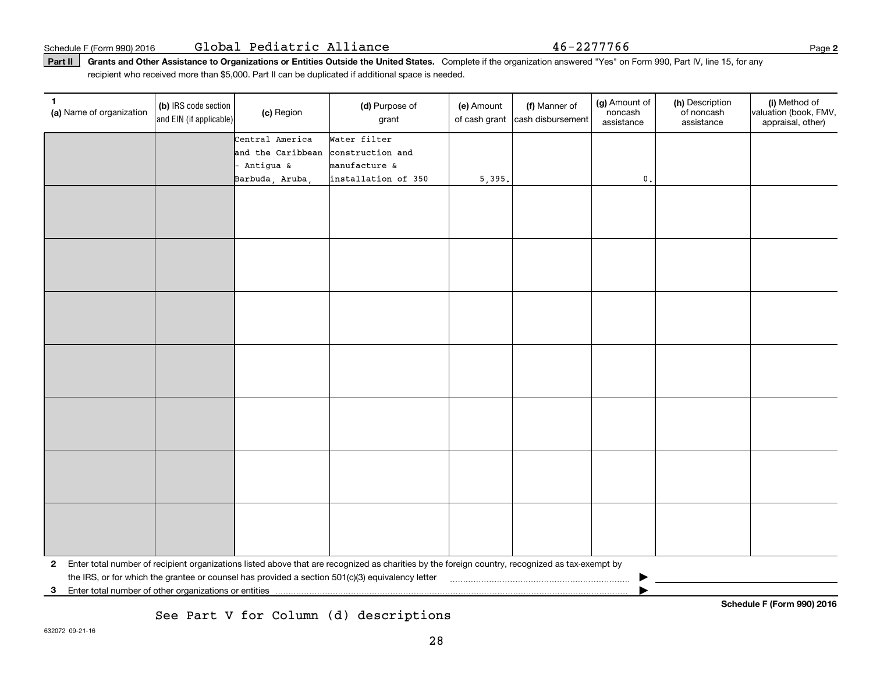Part II | Grants and Other Assistance to Organizations or Entities Outside the United States. Complete if the organization answered "Yes" on Form 990, Part IV, line 15, for any recipient who received more than \$5,000. Part II can be duplicated if additional space is needed.

| 1.<br>(a) Name of organization                          | (b) IRS code section<br>and EIN (if applicable) | (c) Region        | (d) Purpose of<br>grant                                                                                                                         | (e) Amount<br>of cash grant | (f) Manner of<br>cash disbursement | (g) Amount of<br>noncash<br>assistance | (h) Description<br>of noncash<br>assistance | (i) Method of<br>valuation (book, FMV,<br>appraisal, other) |
|---------------------------------------------------------|-------------------------------------------------|-------------------|-------------------------------------------------------------------------------------------------------------------------------------------------|-----------------------------|------------------------------------|----------------------------------------|---------------------------------------------|-------------------------------------------------------------|
|                                                         |                                                 | Central America   | Water filter                                                                                                                                    |                             |                                    |                                        |                                             |                                                             |
|                                                         |                                                 | and the Caribbean | construction and                                                                                                                                |                             |                                    |                                        |                                             |                                                             |
|                                                         |                                                 | Antigua &         | manufacture &                                                                                                                                   |                             |                                    |                                        |                                             |                                                             |
|                                                         |                                                 | Barbuda, Aruba,   | installation of 350                                                                                                                             | 5,395.                      |                                    | $\mathfrak o$ .                        |                                             |                                                             |
|                                                         |                                                 |                   |                                                                                                                                                 |                             |                                    |                                        |                                             |                                                             |
|                                                         |                                                 |                   |                                                                                                                                                 |                             |                                    |                                        |                                             |                                                             |
|                                                         |                                                 |                   |                                                                                                                                                 |                             |                                    |                                        |                                             |                                                             |
|                                                         |                                                 |                   |                                                                                                                                                 |                             |                                    |                                        |                                             |                                                             |
|                                                         |                                                 |                   |                                                                                                                                                 |                             |                                    |                                        |                                             |                                                             |
|                                                         |                                                 |                   |                                                                                                                                                 |                             |                                    |                                        |                                             |                                                             |
|                                                         |                                                 |                   |                                                                                                                                                 |                             |                                    |                                        |                                             |                                                             |
|                                                         |                                                 |                   |                                                                                                                                                 |                             |                                    |                                        |                                             |                                                             |
|                                                         |                                                 |                   |                                                                                                                                                 |                             |                                    |                                        |                                             |                                                             |
|                                                         |                                                 |                   |                                                                                                                                                 |                             |                                    |                                        |                                             |                                                             |
|                                                         |                                                 |                   |                                                                                                                                                 |                             |                                    |                                        |                                             |                                                             |
|                                                         |                                                 |                   |                                                                                                                                                 |                             |                                    |                                        |                                             |                                                             |
|                                                         |                                                 |                   |                                                                                                                                                 |                             |                                    |                                        |                                             |                                                             |
|                                                         |                                                 |                   |                                                                                                                                                 |                             |                                    |                                        |                                             |                                                             |
|                                                         |                                                 |                   |                                                                                                                                                 |                             |                                    |                                        |                                             |                                                             |
|                                                         |                                                 |                   |                                                                                                                                                 |                             |                                    |                                        |                                             |                                                             |
|                                                         |                                                 |                   |                                                                                                                                                 |                             |                                    |                                        |                                             |                                                             |
|                                                         |                                                 |                   |                                                                                                                                                 |                             |                                    |                                        |                                             |                                                             |
|                                                         |                                                 |                   |                                                                                                                                                 |                             |                                    |                                        |                                             |                                                             |
|                                                         |                                                 |                   |                                                                                                                                                 |                             |                                    |                                        |                                             |                                                             |
|                                                         |                                                 |                   |                                                                                                                                                 |                             |                                    |                                        |                                             |                                                             |
|                                                         |                                                 |                   |                                                                                                                                                 |                             |                                    |                                        |                                             |                                                             |
|                                                         |                                                 |                   |                                                                                                                                                 |                             |                                    |                                        |                                             |                                                             |
|                                                         |                                                 |                   |                                                                                                                                                 |                             |                                    |                                        |                                             |                                                             |
|                                                         |                                                 |                   |                                                                                                                                                 |                             |                                    |                                        |                                             |                                                             |
|                                                         |                                                 |                   |                                                                                                                                                 |                             |                                    |                                        |                                             |                                                             |
|                                                         |                                                 |                   |                                                                                                                                                 |                             |                                    |                                        |                                             |                                                             |
| $\mathbf{2}$                                            |                                                 |                   | Enter total number of recipient organizations listed above that are recognized as charities by the foreign country, recognized as tax-exempt by |                             |                                    |                                        |                                             |                                                             |
|                                                         |                                                 |                   | the IRS, or for which the grantee or counsel has provided a section 501(c)(3) equivalency letter                                                |                             |                                    |                                        |                                             |                                                             |
| 3 Enter total number of other organizations or entities |                                                 |                   |                                                                                                                                                 |                             |                                    |                                        |                                             |                                                             |

See Part V for Column (d) descriptions

**Schedule F (Form 990) 2016**

**2**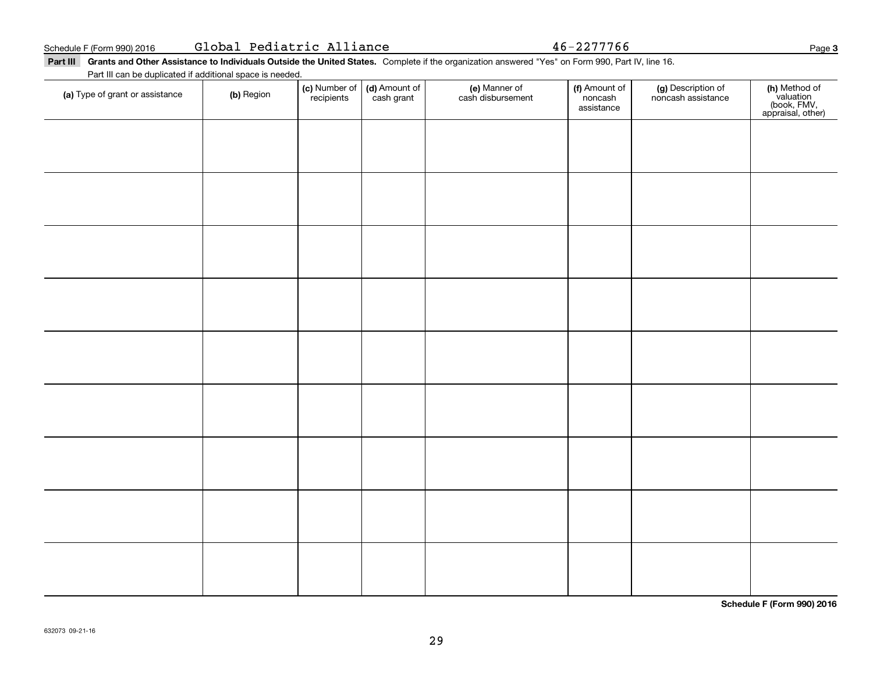|  | Global Pediatric Alliance |  |
|--|---------------------------|--|
|--|---------------------------|--|

Global Pediatric Alliance 46-2277766

Part III Grants and Other Assistance to Individuals Outside the United States. Complete if the organization answered "Yes" on Form 990, Part IV, line 16. Part III can be duplicated if additional space is needed.

| (a) Type of grant or assistance | (b) Region | (c) Number of<br>recipients | (d) Amount of<br>cash grant | (e) Manner of<br>cash disbursement | (f) Amount of<br>.<br>noncash<br>assistance | (g) Description of<br>noncash assistance | (h) Method of<br>valuation<br>(book, FMV,<br>appraisal, other) |
|---------------------------------|------------|-----------------------------|-----------------------------|------------------------------------|---------------------------------------------|------------------------------------------|----------------------------------------------------------------|
|                                 |            |                             |                             |                                    |                                             |                                          |                                                                |
|                                 |            |                             |                             |                                    |                                             |                                          |                                                                |
|                                 |            |                             |                             |                                    |                                             |                                          |                                                                |
|                                 |            |                             |                             |                                    |                                             |                                          |                                                                |
|                                 |            |                             |                             |                                    |                                             |                                          |                                                                |
|                                 |            |                             |                             |                                    |                                             |                                          |                                                                |
|                                 |            |                             |                             |                                    |                                             |                                          |                                                                |
|                                 |            |                             |                             |                                    |                                             |                                          |                                                                |
|                                 |            |                             |                             |                                    |                                             |                                          |                                                                |
|                                 |            |                             |                             |                                    |                                             |                                          |                                                                |
|                                 |            |                             |                             |                                    |                                             |                                          |                                                                |

**Schedule F (Form 990) 2016**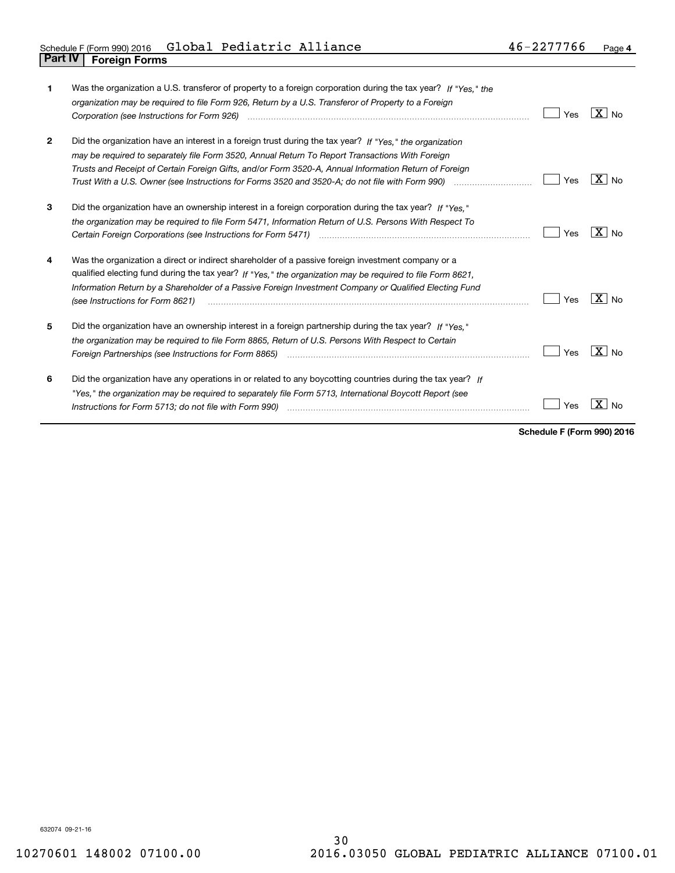| 1            | Was the organization a U.S. transferor of property to a foreign corporation during the tax year? If "Yes," the<br>organization may be required to file Form 926, Return by a U.S. Transferor of Property to a Foreign                                                                                                                                                                                                                 | Yes | $ X $ No.           |
|--------------|---------------------------------------------------------------------------------------------------------------------------------------------------------------------------------------------------------------------------------------------------------------------------------------------------------------------------------------------------------------------------------------------------------------------------------------|-----|---------------------|
| $\mathbf{2}$ | Did the organization have an interest in a foreign trust during the tax year? If "Yes." the organization<br>may be required to separately file Form 3520, Annual Return To Report Transactions With Foreign<br>Trusts and Receipt of Certain Foreign Gifts, and/or Form 3520-A, Annual Information Return of Foreign<br>Trust With a U.S. Owner (see Instructions for Forms 3520 and 3520-A; do not file with Form 990) manual manual | Yes | $X \mid N_{\Omega}$ |
| 3            | Did the organization have an ownership interest in a foreign corporation during the tax year? If "Yes,"<br>the organization may be required to file Form 5471, Information Return of U.S. Persons With Respect To                                                                                                                                                                                                                     | Yes | $X \mid N_{\Omega}$ |
| 4            | Was the organization a direct or indirect shareholder of a passive foreign investment company or a<br>qualified electing fund during the tax year? If "Yes," the organization may be required to file Form 8621,<br>Information Return by a Shareholder of a Passive Foreign Investment Company or Qualified Electing Fund<br>(see Instructions for Form 8621)                                                                        | Yes | $X _{NQ}$           |
| 5            | Did the organization have an ownership interest in a foreign partnership during the tax year? If "Yes."<br>the organization may be required to file Form 8865, Return of U.S. Persons With Respect to Certain<br>Foreign Partnerships (see Instructions for Form 8865)                                                                                                                                                                | Yes | $X \mid N_{0}$      |
| 6            | Did the organization have any operations in or related to any boycotting countries during the tax year? If<br>"Yes," the organization may be required to separately file Form 5713, International Boycott Report (see                                                                                                                                                                                                                 | Yes | Nο                  |

**Schedule F (Form 990) 2016**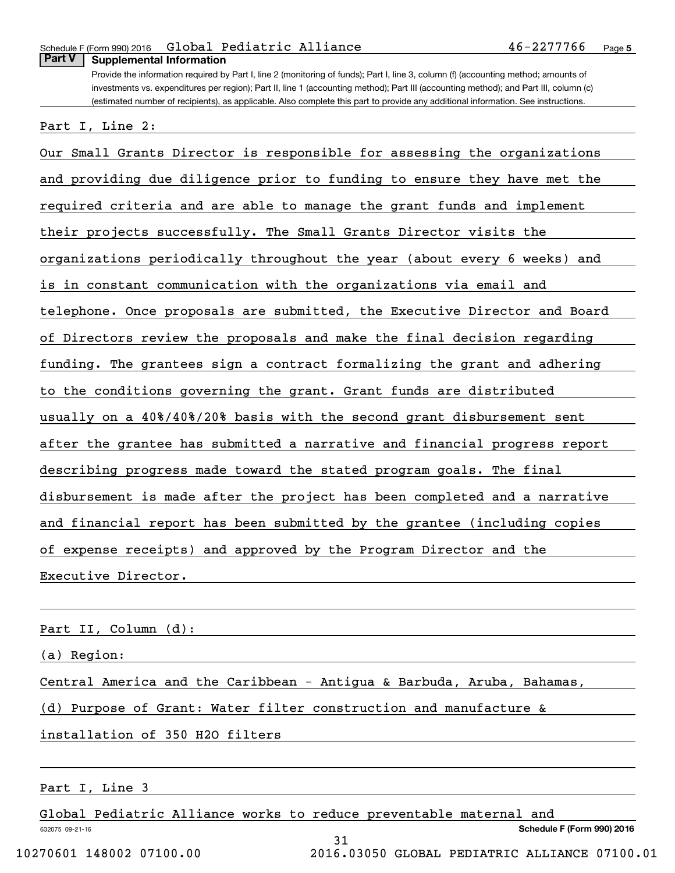#### **Part V Supplemental Information**

Provide the information required by Part I, line 2 (monitoring of funds); Part I, line 3, column (f) (accounting method; amounts of investments vs. expenditures per region); Part II, line 1 (accounting method); Part III (accounting method); and Part III, column (c) (estimated number of recipients), as applicable. Also complete this part to provide any additional information. See instructions.

Part I, Line 2:

Our Small Grants Director is responsible for assessing the organizations and providing due diligence prior to funding to ensure they have met the required criteria and are able to manage the grant funds and implement their projects successfully. The Small Grants Director visits the organizations periodically throughout the year (about every 6 weeks) and is in constant communication with the organizations via email and telephone. Once proposals are submitted, the Executive Director and Board of Directors review the proposals and make the final decision regarding funding. The grantees sign a contract formalizing the grant and adhering to the conditions governing the grant. Grant funds are distributed usually on a 40%/40%/20% basis with the second grant disbursement sent after the grantee has submitted a narrative and financial progress report describing progress made toward the stated program goals. The final disbursement is made after the project has been completed and a narrative and financial report has been submitted by the grantee (including copies of expense receipts) and approved by the Program Director and the Executive Director.

Part II, Column (d):

(a) Region:

Central America and the Caribbean - Antigua & Barbuda, Aruba, Bahamas,

(d) Purpose of Grant: Water filter construction and manufacture &

installation of 350 H2O filters

#### Part I, Line 3

632075 09-21-16 **Schedule F (Form 990) 2016** Global Pediatric Alliance works to reduce preventable maternal and 31 10270601 148002 07100.00 2016.03050 GLOBAL PEDIATRIC ALLIANCE 07100.01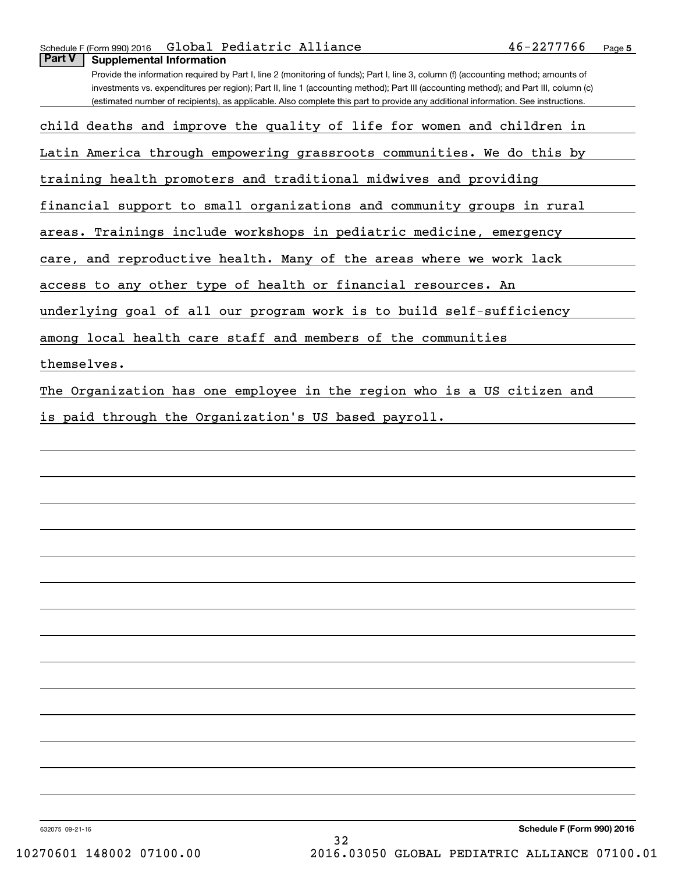Provide the information required by Part I, line 2 (monitoring of funds); Part I, line 3, column (f) (accounting method; amounts of investments vs. expenditures per region); Part II, line 1 (accounting method); Part III (accounting method); and Part III, column (c) (estimated number of recipients), as applicable. Also complete this part to provide any additional information. See instructions.

child deaths and improve the quality of life for women and children in

Latin America through empowering grassroots communities. We do this by

training health promoters and traditional midwives and providing

financial support to small organizations and community groups in rural

areas. Trainings include workshops in pediatric medicine, emergency

care, and reproductive health. Many of the areas where we work lack

access to any other type of health or financial resources. An

underlying goal of all our program work is to build self-sufficiency

among local health care staff and members of the communities

themselves.

The Organization has one employee in the region who is a US citizen and

is paid through the Organization's US based payroll.

632075 09-21-16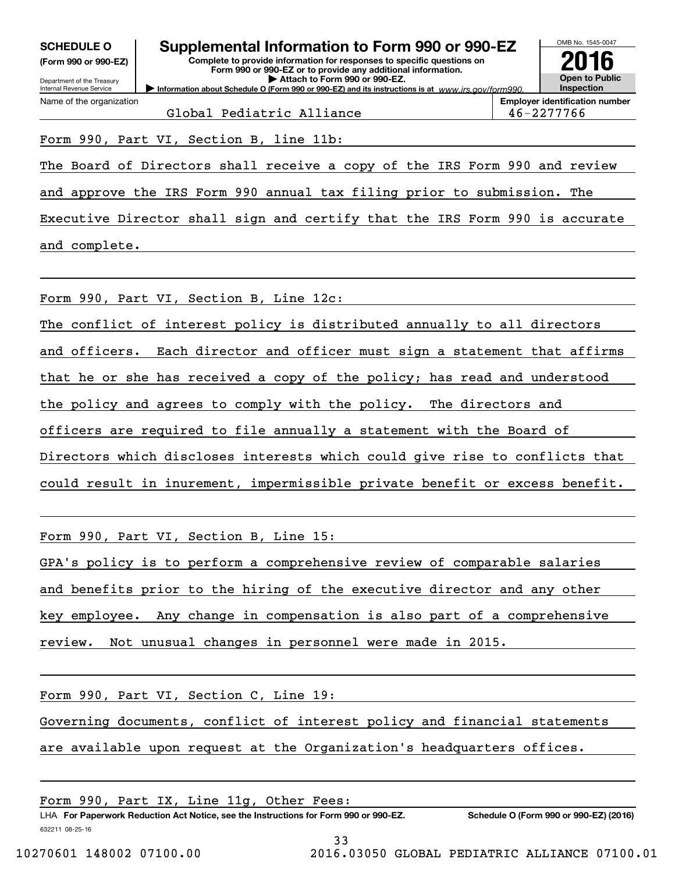| UVIILVULL V          |  |  |
|----------------------|--|--|
| (Form 990 or 990-EZ) |  |  |

# **SCHEDULE O Supplemental Information to Form 990 or 990-EZ**

**Information about Schedule O (Form 990 or 990-EZ) and its instructions is at**  $www.irs.gov/form990.$ **Complete to provide information for responses to specific questions on Form 990 or 990-EZ or to provide any additional information. | Attach to Form 990 or 990-EZ.**



**Employer identification number** Global Pediatric Alliance 46-2277766

Form 990, Part VI, Section B, line 11b:

The Board of Directors shall receive a copy of the IRS Form 990 and review

and approve the IRS Form 990 annual tax filing prior to submission. The

Executive Director shall sign and certify that the IRS Form 990 is accurate and complete.

Form 990, Part VI, Section B, Line 12c:

The conflict of interest policy is distributed annually to all directors and officers. Each director and officer must sign a statement that affirms that he or she has received a copy of the policy; has read and understood the policy and agrees to comply with the policy. The directors and officers are required to file annually a statement with the Board of Directors which discloses interests which could give rise to conflicts that could result in inurement, impermissible private benefit or excess benefit.

Form 990, Part VI, Section B, Line 15:

GPA's policy is to perform a comprehensive review of comparable salaries

and benefits prior to the hiring of the executive director and any other

key employee. Any change in compensation is also part of a comprehensive

review. Not unusual changes in personnel were made in 2015.

Form 990, Part VI, Section C, Line 19:

Governing documents, conflict of interest policy and financial statements

are available upon request at the Organization's headquarters offices.

632211 08-25-16 LHA For Paperwork Reduction Act Notice, see the Instructions for Form 990 or 990-EZ. Schedule O (Form 990 or 990-EZ) (2016) Form 990, Part IX, Line 11g, Other Fees: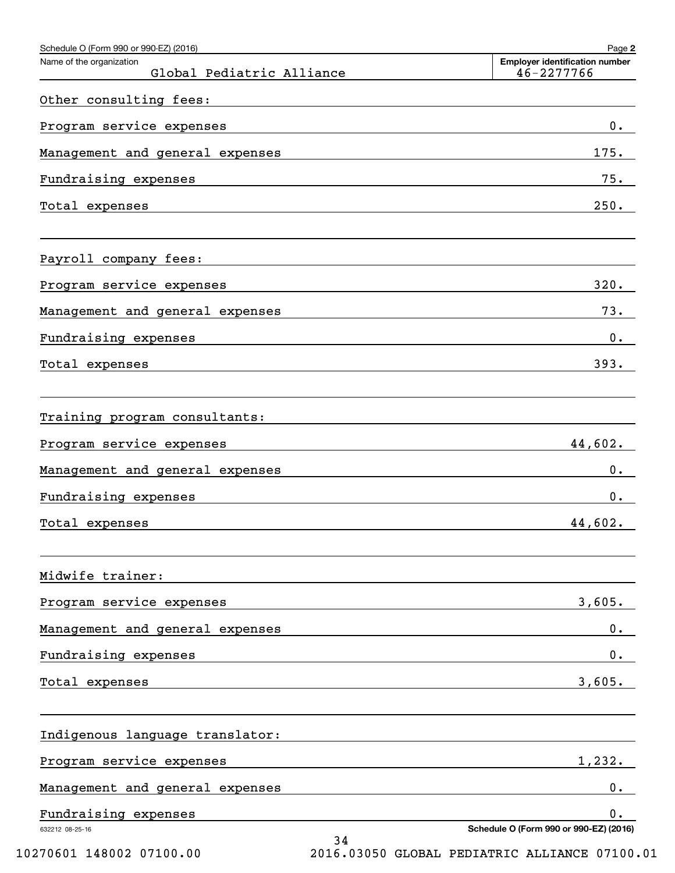| Schedule O (Form 990 or 990-EZ) (2016)                                                                                                  | Page 2                                                                                                                                                                                                                                |
|-----------------------------------------------------------------------------------------------------------------------------------------|---------------------------------------------------------------------------------------------------------------------------------------------------------------------------------------------------------------------------------------|
| Name of the organization<br>Global Pediatric Alliance                                                                                   | <b>Employer identification number</b><br>46-2277766                                                                                                                                                                                   |
| Other consulting fees:                                                                                                                  |                                                                                                                                                                                                                                       |
| Program service expenses                                                                                                                | 0.<br>the control of the control of the control of the control of the control of the control of the control of the control of the control of the control of the control of the control of the control of the control of the control   |
| Management and general expenses                                                                                                         | 175.                                                                                                                                                                                                                                  |
| Fundraising expenses                                                                                                                    | 75.<br><u> 1980 - Andrea Andrew Maria (h. 1980).</u>                                                                                                                                                                                  |
| Total expenses<br><u> 1989 - Johann Stoff, deutscher Stoff, der Stoff, der Stoff, der Stoff, der Stoff, der Stoff, der Stoff, der S</u> | 250.                                                                                                                                                                                                                                  |
| Payroll company fees:                                                                                                                   |                                                                                                                                                                                                                                       |
| Program service expenses                                                                                                                | 320.                                                                                                                                                                                                                                  |
| Management and general expenses                                                                                                         | 73.                                                                                                                                                                                                                                   |
| Fundraising expenses                                                                                                                    | $0$ .<br><u> 1989 - Andrea Andrew Maria (h. 1989).</u>                                                                                                                                                                                |
| Total expenses                                                                                                                          | 393.<br>the control of the control of the control of the control of the control of the control of the control of the control of the control of the control of the control of the control of the control of the control of the control |
| Training program consultants:                                                                                                           |                                                                                                                                                                                                                                       |
| Program service expenses                                                                                                                | 44,602.                                                                                                                                                                                                                               |
| Management and general expenses                                                                                                         | $0$ .                                                                                                                                                                                                                                 |
| Fundraising expenses                                                                                                                    | $0$ .                                                                                                                                                                                                                                 |
| Total expenses                                                                                                                          | 44,602.                                                                                                                                                                                                                               |
| Midwife trainer:                                                                                                                        |                                                                                                                                                                                                                                       |
| Program service expenses                                                                                                                | 3,605.                                                                                                                                                                                                                                |
| Management and general expenses                                                                                                         | $0$ .                                                                                                                                                                                                                                 |
| Fundraising expenses                                                                                                                    | $0$ .                                                                                                                                                                                                                                 |
| Total expenses                                                                                                                          | 3,605.                                                                                                                                                                                                                                |
| Indigenous language translator:                                                                                                         |                                                                                                                                                                                                                                       |
| Program service expenses                                                                                                                | 1,232.                                                                                                                                                                                                                                |
| Management and general expenses                                                                                                         | $0$ .                                                                                                                                                                                                                                 |
| Fundraising expenses                                                                                                                    | 0.                                                                                                                                                                                                                                    |
| 632212 08-25-16                                                                                                                         | Schedule O (Form 990 or 990-EZ) (2016)<br>34                                                                                                                                                                                          |

10270601 148002 07100.00 2016.03050 GLOBAL PEDIATRIC ALLIANCE 07100.01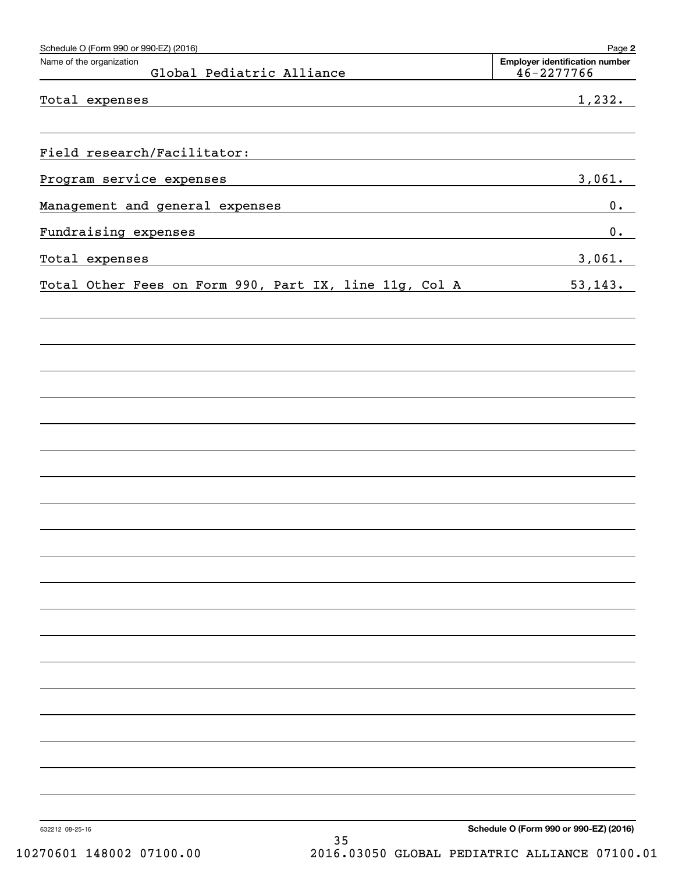| Schedule O (Form 990 or 990-EZ) (2016)<br>Name of the organization | Page 2<br><b>Employer identification number</b> |
|--------------------------------------------------------------------|-------------------------------------------------|
| Global Pediatric Alliance                                          | $46 - 2277766$                                  |
| Total expenses                                                     | 1,232.                                          |
|                                                                    |                                                 |
| Field research/Facilitator:                                        |                                                 |
| Program service expenses                                           | 3,061.                                          |
| Management and general expenses                                    | 0.                                              |
| Fundraising expenses                                               | 0.                                              |
| Total expenses                                                     | 3,061.                                          |
| Total Other Fees on Form 990, Part IX, line 11g, Col A             | 53, 143.                                        |
|                                                                    |                                                 |
|                                                                    |                                                 |
|                                                                    |                                                 |
|                                                                    |                                                 |
|                                                                    |                                                 |
|                                                                    |                                                 |
|                                                                    |                                                 |
|                                                                    |                                                 |
|                                                                    |                                                 |
|                                                                    |                                                 |
|                                                                    |                                                 |
|                                                                    |                                                 |
|                                                                    |                                                 |
|                                                                    |                                                 |
|                                                                    |                                                 |
|                                                                    |                                                 |
|                                                                    |                                                 |
|                                                                    |                                                 |
|                                                                    |                                                 |
|                                                                    |                                                 |
| 632212 08-25-16                                                    | Schedule O (Form 990 or 990-EZ) (2016)          |
| 35                                                                 |                                                 |